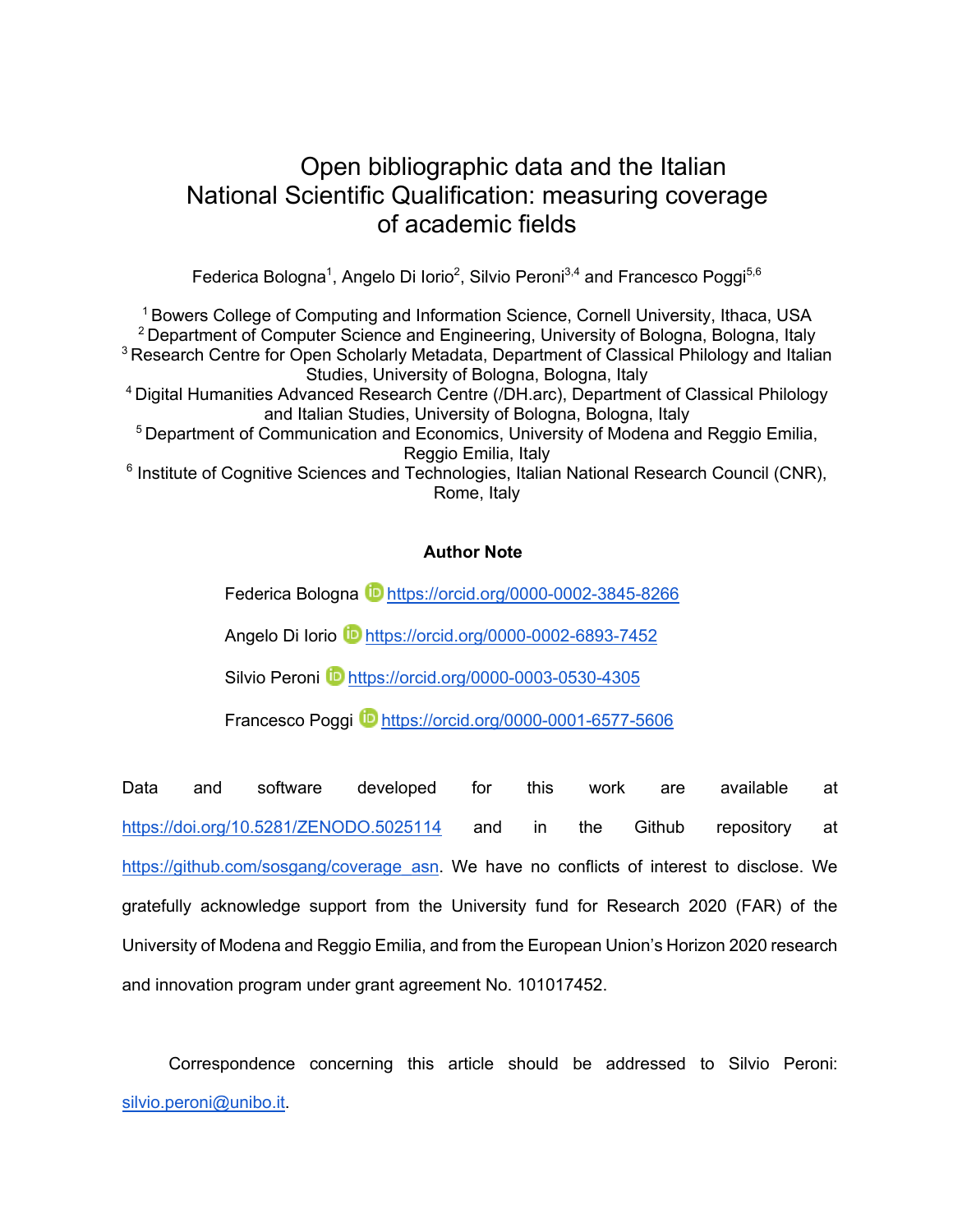# Open bibliographic data and the Italian National Scientific Qualification: measuring coverage of academic fields

Federica Bologna<sup>1</sup>, Angelo Di Iorio<sup>2</sup>, Silvio Peroni $^{3,4}$  and Francesco Poggi $^{5,6}$ 

1 Bowers College of Computing and Information Science, Cornell University, Ithaca, USA <sup>2</sup> Department of Computer Science and Engineering, University of Bologna, Bologna, Italy <sup>3</sup> Research Centre for Open Scholarly Metadata, Department of Classical Philology and Italian Studies, University of Bologna, Bologna, Italy 4 Digital Humanities Advanced Research Centre (/DH.arc), Department of Classical Philology and Italian Studies, University of Bologna, Bologna, Italy <sup>5</sup> Department of Communication and Economics, University of Modena and Reggio Emilia, Reggio Emilia, Italy  $6$  Institute of Cognitive Sciences and Technologies, Italian National Research Council (CNR), Rome, Italy

# **Author Note**

Federica Bologna **b** https://orcid.org/0000-0002-3845-8266

Angelo Di Iorio **D** https://orcid.org/0000-0002-6893-7452

Silvio Peroni D https://orcid.org/0000-0003-0530-4305

Francesco Poggi **iD** https://orcid.org/0000-0001-6577-5606

Data and software developed for this work are available at https://doi.org/10.5281/ZENODO.5025114 and in the Github repository at https://github.com/sosgang/coverage\_asn. We have no conflicts of interest to disclose. We gratefully acknowledge support from the University fund for Research 2020 (FAR) of the University of Modena and Reggio Emilia, and from the European Union's Horizon 2020 research and innovation program under grant agreement No. 101017452.

Correspondence concerning this article should be addressed to Silvio Peroni: silvio.peroni@unibo.it.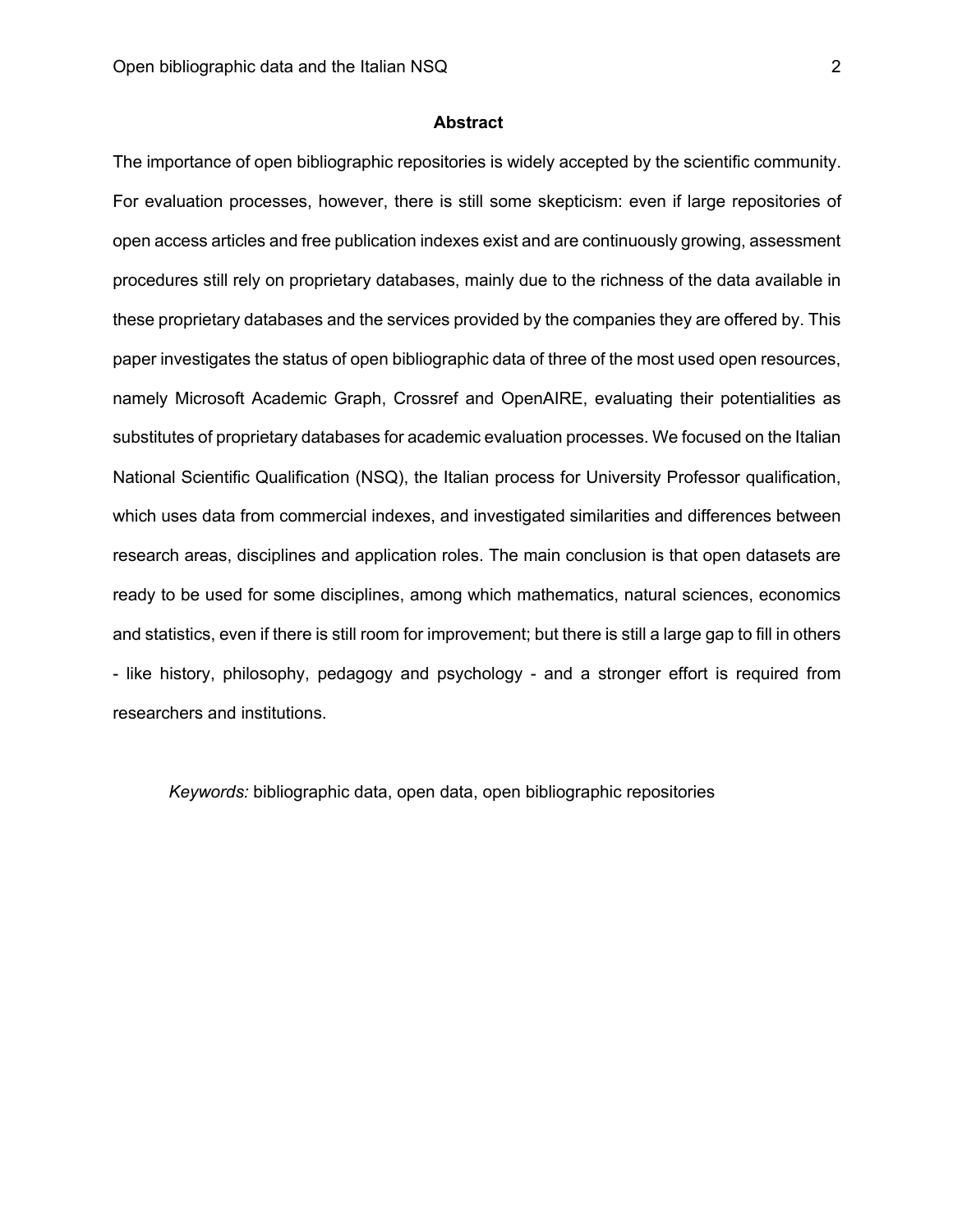## **Abstract**

The importance of open bibliographic repositories is widely accepted by the scientific community. For evaluation processes, however, there is still some skepticism: even if large repositories of open access articles and free publication indexes exist and are continuously growing, assessment procedures still rely on proprietary databases, mainly due to the richness of the data available in these proprietary databases and the services provided by the companies they are offered by. This paper investigates the status of open bibliographic data of three of the most used open resources, namely Microsoft Academic Graph, Crossref and OpenAIRE, evaluating their potentialities as substitutes of proprietary databases for academic evaluation processes. We focused on the Italian National Scientific Qualification (NSQ), the Italian process for University Professor qualification, which uses data from commercial indexes, and investigated similarities and differences between research areas, disciplines and application roles. The main conclusion is that open datasets are ready to be used for some disciplines, among which mathematics, natural sciences, economics and statistics, even if there is still room for improvement; but there is still a large gap to fill in others - like history, philosophy, pedagogy and psychology - and a stronger effort is required from researchers and institutions.

*Keywords:* bibliographic data, open data, open bibliographic repositories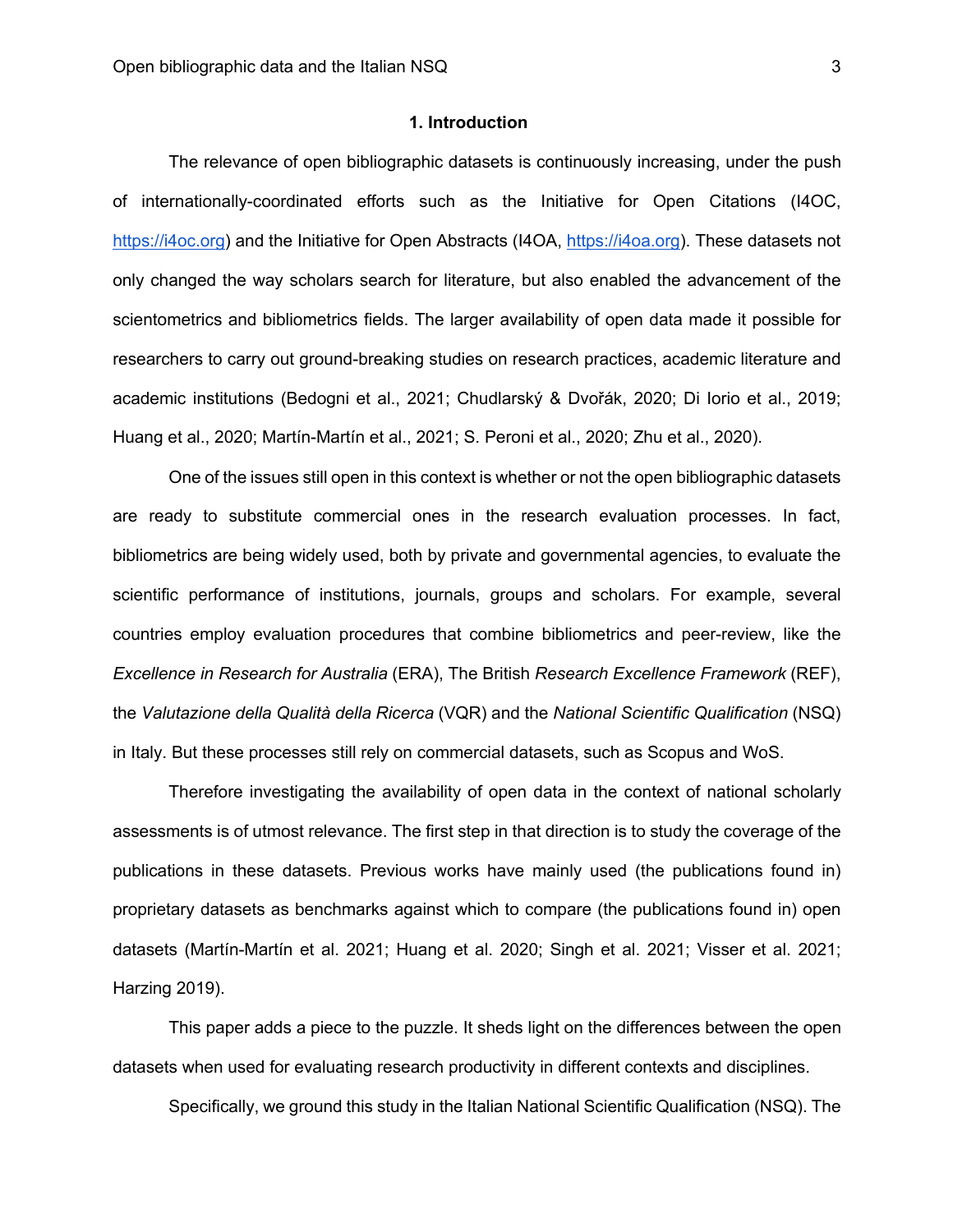#### **1. Introduction**

The relevance of open bibliographic datasets is continuously increasing, under the push of internationally-coordinated efforts such as the Initiative for Open Citations (I4OC, https://i4oc.org) and the Initiative for Open Abstracts (I4OA, https://i4oa.org). These datasets not only changed the way scholars search for literature, but also enabled the advancement of the scientometrics and bibliometrics fields. The larger availability of open data made it possible for researchers to carry out ground-breaking studies on research practices, academic literature and academic institutions (Bedogni et al., 2021; Chudlarský & Dvořák, 2020; Di Iorio et al., 2019; Huang et al., 2020; Martín-Martín et al., 2021; S. Peroni et al., 2020; Zhu et al., 2020).

One of the issues still open in this context is whether or not the open bibliographic datasets are ready to substitute commercial ones in the research evaluation processes. In fact, bibliometrics are being widely used, both by private and governmental agencies, to evaluate the scientific performance of institutions, journals, groups and scholars. For example, several countries employ evaluation procedures that combine bibliometrics and peer-review, like the *Excellence in Research for Australia* (ERA), The British *Research Excellence Framework* (REF), the *Valutazione della Qualità della Ricerca* (VQR) and the *National Scientific Qualification* (NSQ) in Italy. But these processes still rely on commercial datasets, such as Scopus and WoS.

Therefore investigating the availability of open data in the context of national scholarly assessments is of utmost relevance. The first step in that direction is to study the coverage of the publications in these datasets. Previous works have mainly used (the publications found in) proprietary datasets as benchmarks against which to compare (the publications found in) open datasets (Martín-Martín et al. 2021; Huang et al. 2020; Singh et al. 2021; Visser et al. 2021; Harzing 2019).

This paper adds a piece to the puzzle. It sheds light on the differences between the open datasets when used for evaluating research productivity in different contexts and disciplines.

Specifically, we ground this study in the Italian National Scientific Qualification (NSQ). The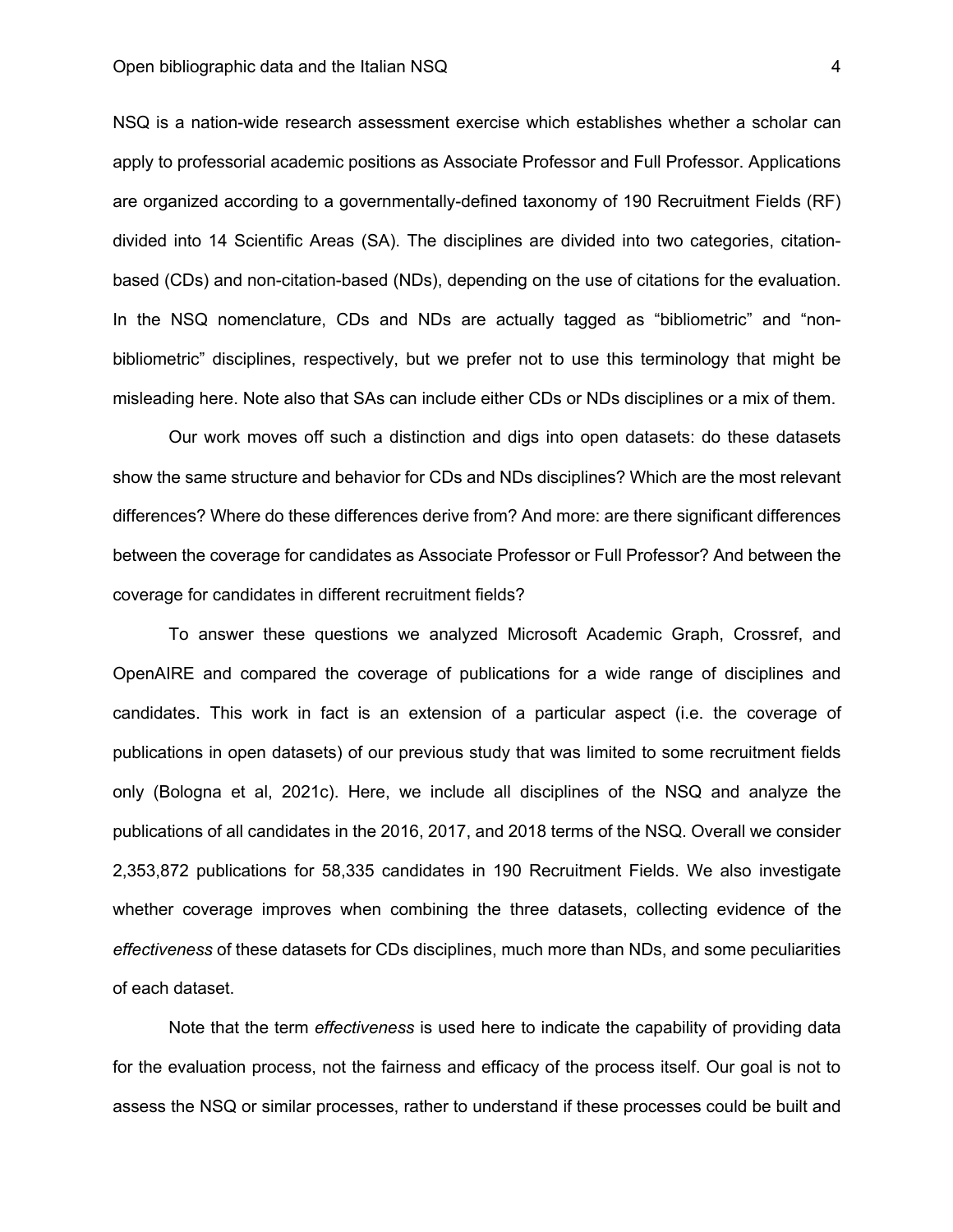NSQ is a nation-wide research assessment exercise which establishes whether a scholar can apply to professorial academic positions as Associate Professor and Full Professor. Applications are organized according to a governmentally-defined taxonomy of 190 Recruitment Fields (RF) divided into 14 Scientific Areas (SA). The disciplines are divided into two categories, citationbased (CDs) and non-citation-based (NDs), depending on the use of citations for the evaluation. In the NSQ nomenclature, CDs and NDs are actually tagged as "bibliometric" and "nonbibliometric" disciplines, respectively, but we prefer not to use this terminology that might be misleading here. Note also that SAs can include either CDs or NDs disciplines or a mix of them.

Our work moves off such a distinction and digs into open datasets: do these datasets show the same structure and behavior for CDs and NDs disciplines? Which are the most relevant differences? Where do these differences derive from? And more: are there significant differences between the coverage for candidates as Associate Professor or Full Professor? And between the coverage for candidates in different recruitment fields?

To answer these questions we analyzed Microsoft Academic Graph, Crossref, and OpenAIRE and compared the coverage of publications for a wide range of disciplines and candidates. This work in fact is an extension of a particular aspect (i.e. the coverage of publications in open datasets) of our previous study that was limited to some recruitment fields only (Bologna et al, 2021c). Here, we include all disciplines of the NSQ and analyze the publications of all candidates in the 2016, 2017, and 2018 terms of the NSQ. Overall we consider 2,353,872 publications for 58,335 candidates in 190 Recruitment Fields. We also investigate whether coverage improves when combining the three datasets, collecting evidence of the *effectiveness* of these datasets for CDs disciplines, much more than NDs, and some peculiarities of each dataset.

Note that the term *effectiveness* is used here to indicate the capability of providing data for the evaluation process, not the fairness and efficacy of the process itself. Our goal is not to assess the NSQ or similar processes, rather to understand if these processes could be built and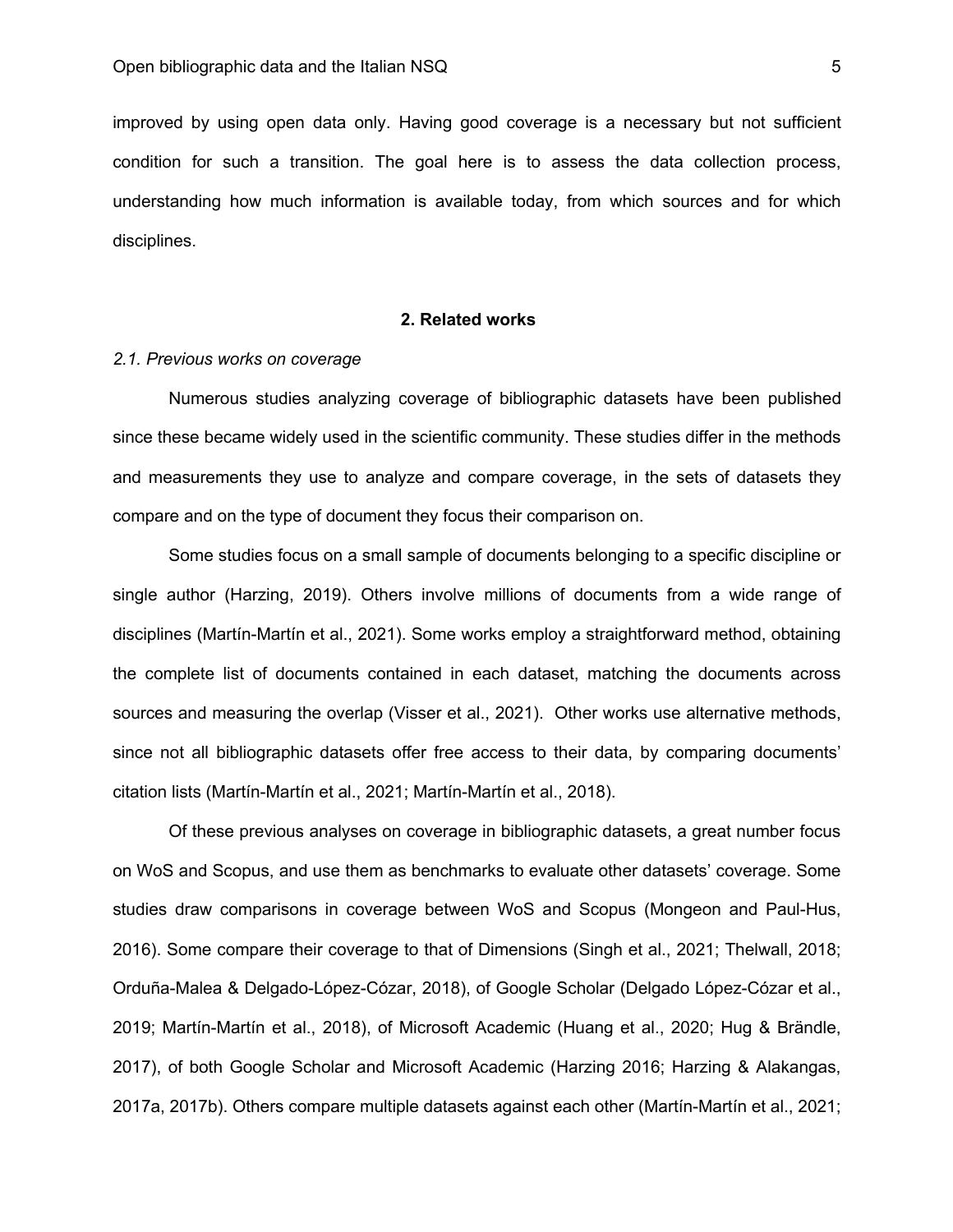improved by using open data only. Having good coverage is a necessary but not sufficient condition for such a transition. The goal here is to assess the data collection process, understanding how much information is available today, from which sources and for which disciplines.

## **2. Related works**

## *2.1. Previous works on coverage*

Numerous studies analyzing coverage of bibliographic datasets have been published since these became widely used in the scientific community. These studies differ in the methods and measurements they use to analyze and compare coverage, in the sets of datasets they compare and on the type of document they focus their comparison on.

Some studies focus on a small sample of documents belonging to a specific discipline or single author (Harzing, 2019). Others involve millions of documents from a wide range of disciplines (Martín-Martín et al., 2021). Some works employ a straightforward method, obtaining the complete list of documents contained in each dataset, matching the documents across sources and measuring the overlap (Visser et al., 2021). Other works use alternative methods, since not all bibliographic datasets offer free access to their data, by comparing documents' citation lists (Martín-Martín et al., 2021; Martín-Martín et al., 2018).

Of these previous analyses on coverage in bibliographic datasets, a great number focus on WoS and Scopus, and use them as benchmarks to evaluate other datasets' coverage. Some studies draw comparisons in coverage between WoS and Scopus (Mongeon and Paul-Hus, 2016). Some compare their coverage to that of Dimensions (Singh et al., 2021; Thelwall, 2018; Orduña-Malea & Delgado-López-Cózar, 2018), of Google Scholar (Delgado López-Cózar et al., 2019; Martín-Martín et al., 2018), of Microsoft Academic (Huang et al., 2020; Hug & Brändle, 2017), of both Google Scholar and Microsoft Academic (Harzing 2016; Harzing & Alakangas, 2017a, 2017b). Others compare multiple datasets against each other (Martín-Martín et al., 2021;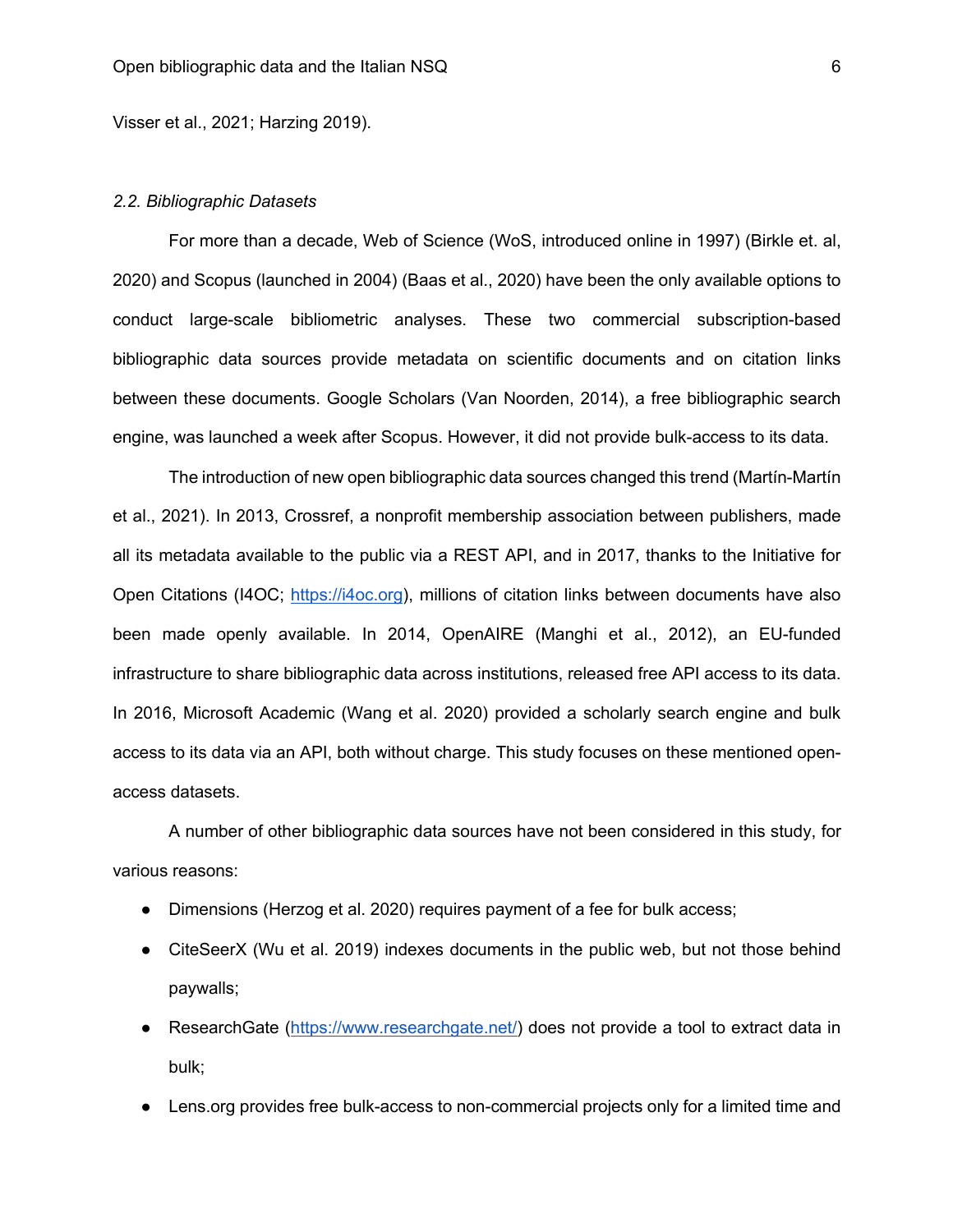Visser et al., 2021; Harzing 2019).

#### *2.2. Bibliographic Datasets*

For more than a decade, Web of Science (WoS, introduced online in 1997) (Birkle et. al, 2020) and Scopus (launched in 2004) (Baas et al., 2020) have been the only available options to conduct large-scale bibliometric analyses. These two commercial subscription-based bibliographic data sources provide metadata on scientific documents and on citation links between these documents. Google Scholars (Van Noorden, 2014), a free bibliographic search engine, was launched a week after Scopus. However, it did not provide bulk-access to its data.

The introduction of new open bibliographic data sources changed this trend (Martín-Martín et al., 2021). In 2013, Crossref, a nonprofit membership association between publishers, made all its metadata available to the public via a REST API, and in 2017, thanks to the Initiative for Open Citations (I4OC; https://i4oc.org), millions of citation links between documents have also been made openly available. In 2014, OpenAIRE (Manghi et al., 2012), an EU-funded infrastructure to share bibliographic data across institutions, released free API access to its data. In 2016, Microsoft Academic (Wang et al. 2020) provided a scholarly search engine and bulk access to its data via an API, both without charge. This study focuses on these mentioned openaccess datasets.

A number of other bibliographic data sources have not been considered in this study, for various reasons:

- Dimensions (Herzog et al. 2020) requires payment of a fee for bulk access;
- CiteSeerX (Wu et al. 2019) indexes documents in the public web, but not those behind paywalls;
- ResearchGate (https://www.researchgate.net/) does not provide a tool to extract data in bulk;
- Lens.org provides free bulk-access to non-commercial projects only for a limited time and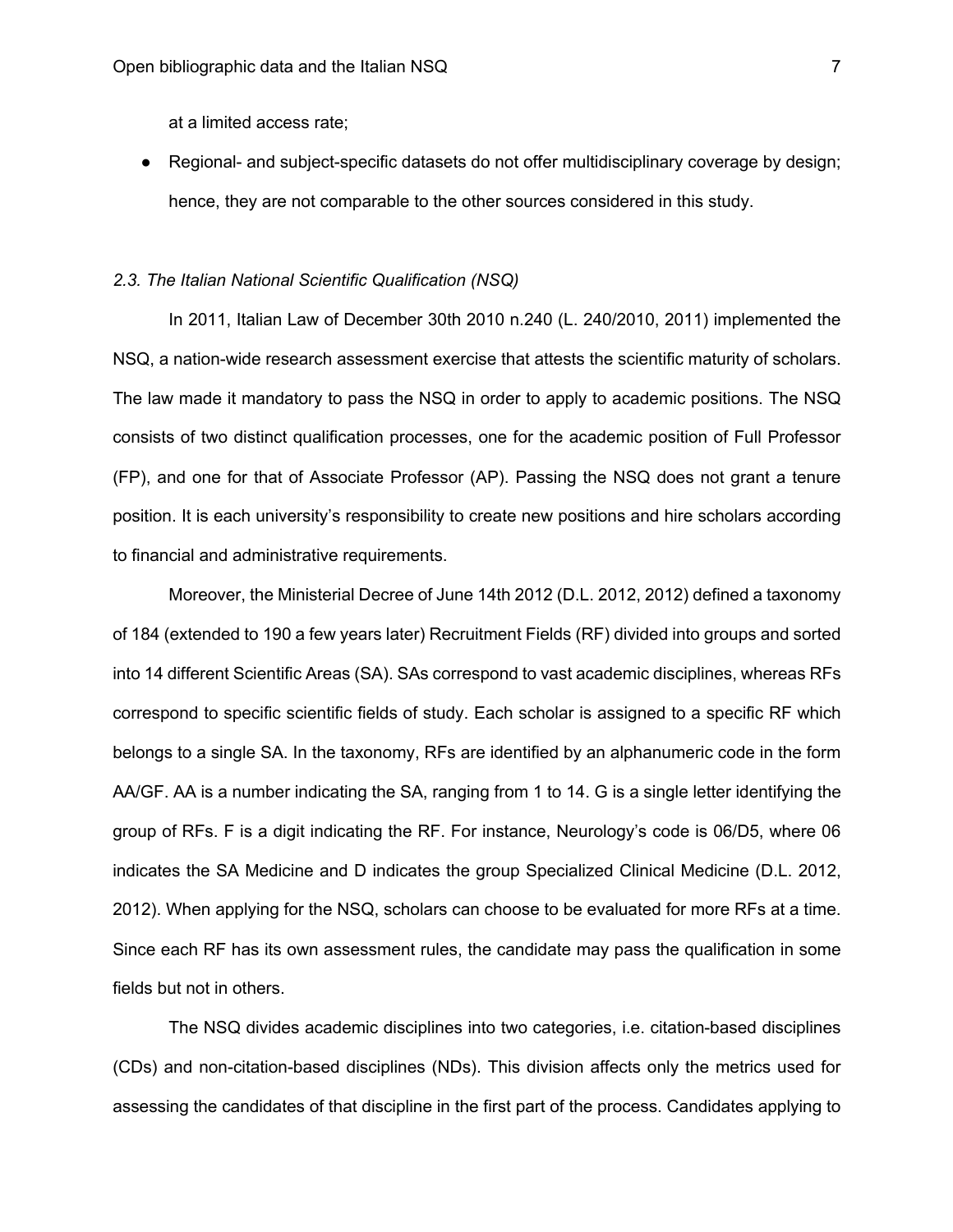at a limited access rate;

● Regional- and subject-specific datasets do not offer multidisciplinary coverage by design; hence, they are not comparable to the other sources considered in this study.

#### *2.3. The Italian National Scientific Qualification (NSQ)*

In 2011, Italian Law of December 30th 2010 n.240 (L. 240/2010, 2011) implemented the NSQ, a nation-wide research assessment exercise that attests the scientific maturity of scholars. The law made it mandatory to pass the NSQ in order to apply to academic positions. The NSQ consists of two distinct qualification processes, one for the academic position of Full Professor (FP), and one for that of Associate Professor (AP). Passing the NSQ does not grant a tenure position. It is each university's responsibility to create new positions and hire scholars according to financial and administrative requirements.

Moreover, the Ministerial Decree of June 14th 2012 (D.L. 2012, 2012) defined a taxonomy of 184 (extended to 190 a few years later) Recruitment Fields (RF) divided into groups and sorted into 14 different Scientific Areas (SA). SAs correspond to vast academic disciplines, whereas RFs correspond to specific scientific fields of study. Each scholar is assigned to a specific RF which belongs to a single SA. In the taxonomy, RFs are identified by an alphanumeric code in the form AA/GF. AA is a number indicating the SA, ranging from 1 to 14. G is a single letter identifying the group of RFs. F is a digit indicating the RF. For instance, Neurology's code is 06/D5, where 06 indicates the SA Medicine and D indicates the group Specialized Clinical Medicine (D.L. 2012, 2012). When applying for the NSQ, scholars can choose to be evaluated for more RFs at a time. Since each RF has its own assessment rules, the candidate may pass the qualification in some fields but not in others.

The NSQ divides academic disciplines into two categories, i.e. citation-based disciplines (CDs) and non-citation-based disciplines (NDs). This division affects only the metrics used for assessing the candidates of that discipline in the first part of the process. Candidates applying to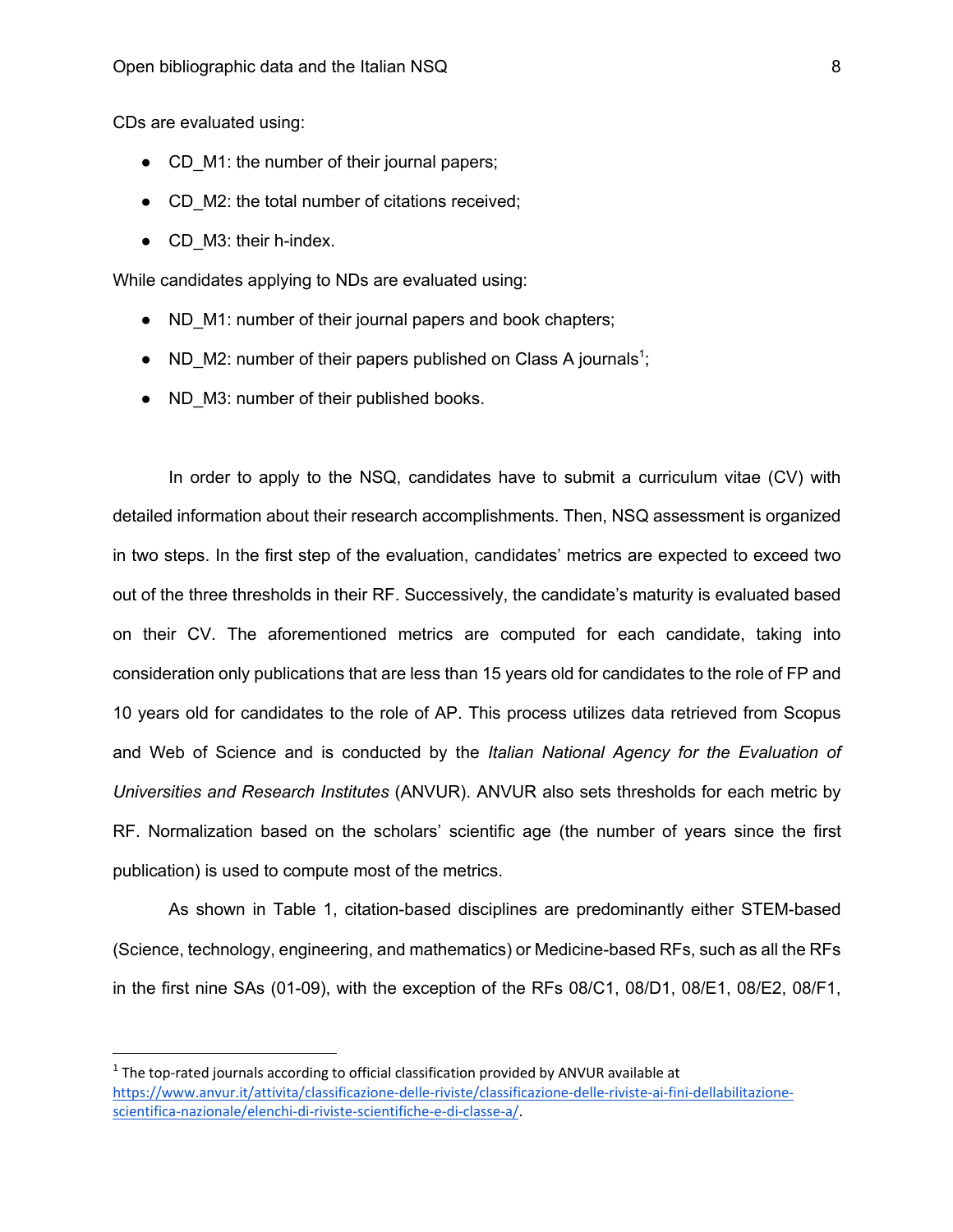CDs are evaluated using:

- CD M1: the number of their journal papers;
- CD M2: the total number of citations received;
- CD M3: their h-index.

While candidates applying to NDs are evaluated using:

- ND M1: number of their journal papers and book chapters;
- ND\_M2: number of their papers published on Class A journals<sup>1</sup>;
- ND M3: number of their published books.

In order to apply to the NSQ, candidates have to submit a curriculum vitae (CV) with detailed information about their research accomplishments. Then, NSQ assessment is organized in two steps. In the first step of the evaluation, candidates' metrics are expected to exceed two out of the three thresholds in their RF. Successively, the candidate's maturity is evaluated based on their CV. The aforementioned metrics are computed for each candidate, taking into consideration only publications that are less than 15 years old for candidates to the role of FP and 10 years old for candidates to the role of AP. This process utilizes data retrieved from Scopus and Web of Science and is conducted by the *Italian National Agency for the Evaluation of Universities and Research Institutes* (ANVUR). ANVUR also sets thresholds for each metric by RF. Normalization based on the scholars' scientific age (the number of years since the first publication) is used to compute most of the metrics.

As shown in Table 1, citation-based disciplines are predominantly either STEM-based (Science, technology, engineering, and mathematics) or Medicine-based RFs, such as all the RFs in the first nine SAs (01-09), with the exception of the RFs 08/C1, 08/D1, 08/E1, 08/E2, 08/F1,

 $<sup>1</sup>$  The top-rated journals according to official classification provided by ANVUR available at</sup> https://www.anvur.it/attivita/classificazione-delle-riviste/classificazione-delle-riviste-ai-fini-dellabilitazionescientifica-nazionale/elenchi-di-riviste-scientifiche-e-di-classe-a/.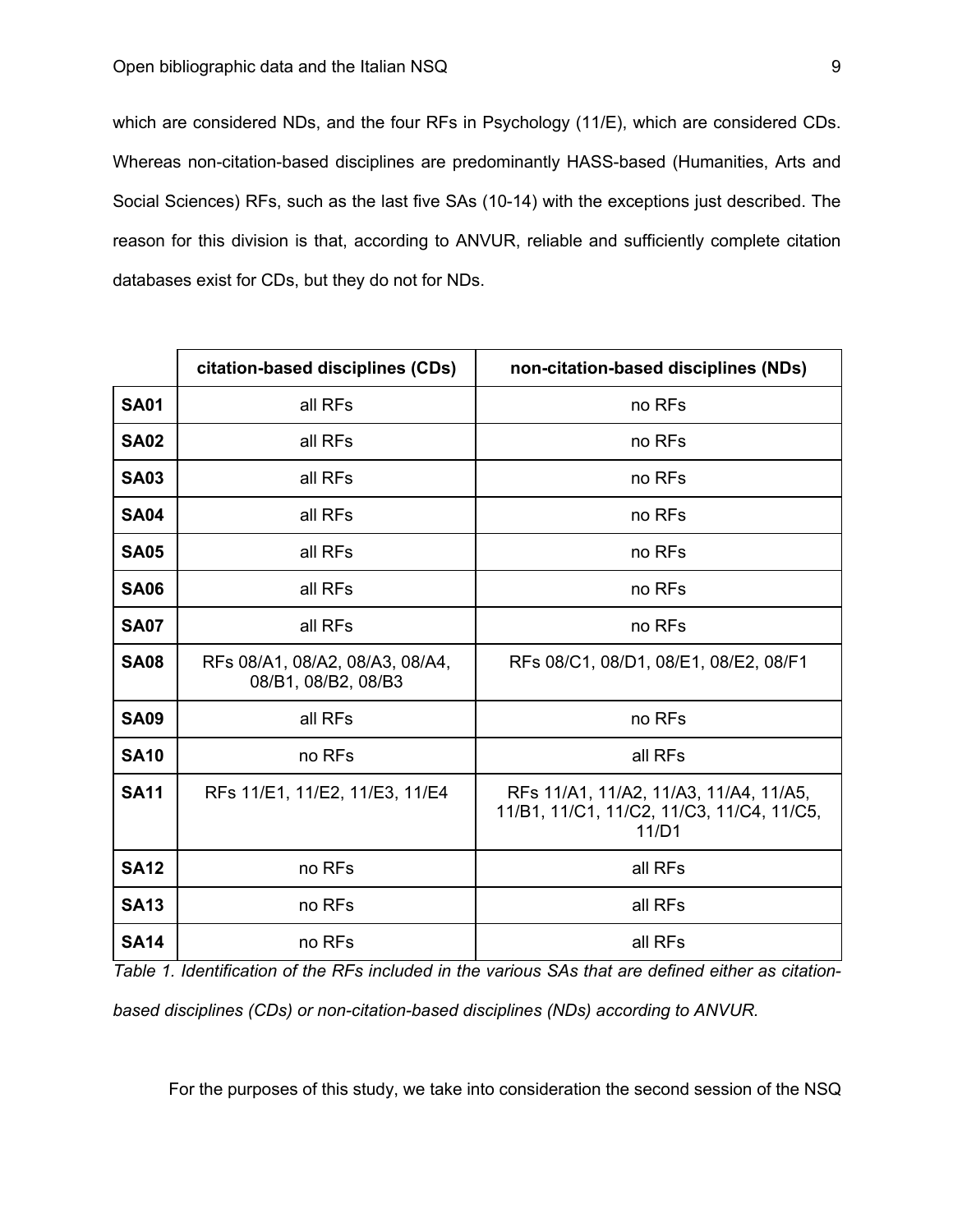which are considered NDs, and the four RFs in Psychology (11/E), which are considered CDs. Whereas non-citation-based disciplines are predominantly HASS-based (Humanities, Arts and Social Sciences) RFs, such as the last five SAs (10-14) with the exceptions just described. The reason for this division is that, according to ANVUR, reliable and sufficiently complete citation databases exist for CDs, but they do not for NDs.

|             | citation-based disciplines (CDs)                       | non-citation-based disciplines (NDs)                                                         |
|-------------|--------------------------------------------------------|----------------------------------------------------------------------------------------------|
| <b>SA01</b> | all RFs                                                | no RFs                                                                                       |
| <b>SA02</b> | all RFs                                                | no RFs                                                                                       |
| <b>SA03</b> | all RFs                                                | no RFs                                                                                       |
| <b>SA04</b> | all RFs                                                | no RFs                                                                                       |
| <b>SA05</b> | all RFs                                                | no RFs                                                                                       |
| <b>SA06</b> | all RFs                                                | no RFs                                                                                       |
| <b>SA07</b> | all RFs                                                | no RFs                                                                                       |
| <b>SA08</b> | RFs 08/A1, 08/A2, 08/A3, 08/A4,<br>08/B1, 08/B2, 08/B3 | RFs 08/C1, 08/D1, 08/E1, 08/E2, 08/F1                                                        |
| <b>SA09</b> | all RFs                                                | no RFs                                                                                       |
| <b>SA10</b> | no RFs                                                 | all RFs                                                                                      |
| <b>SA11</b> | RFs 11/E1, 11/E2, 11/E3, 11/E4                         | RFs 11/A1, 11/A2, 11/A3, 11/A4, 11/A5,<br>11/B1, 11/C1, 11/C2, 11/C3, 11/C4, 11/C5,<br>11/D1 |
| <b>SA12</b> | no RFs                                                 | all RFs                                                                                      |
| <b>SA13</b> | no RFs                                                 | all RFs                                                                                      |
| <b>SA14</b> | no RFs                                                 | all RFs                                                                                      |

*Table 1. Identification of the RFs included in the various SAs that are defined either as citationbased disciplines (CDs) or non-citation-based disciplines (NDs) according to ANVUR.*

For the purposes of this study, we take into consideration the second session of the NSQ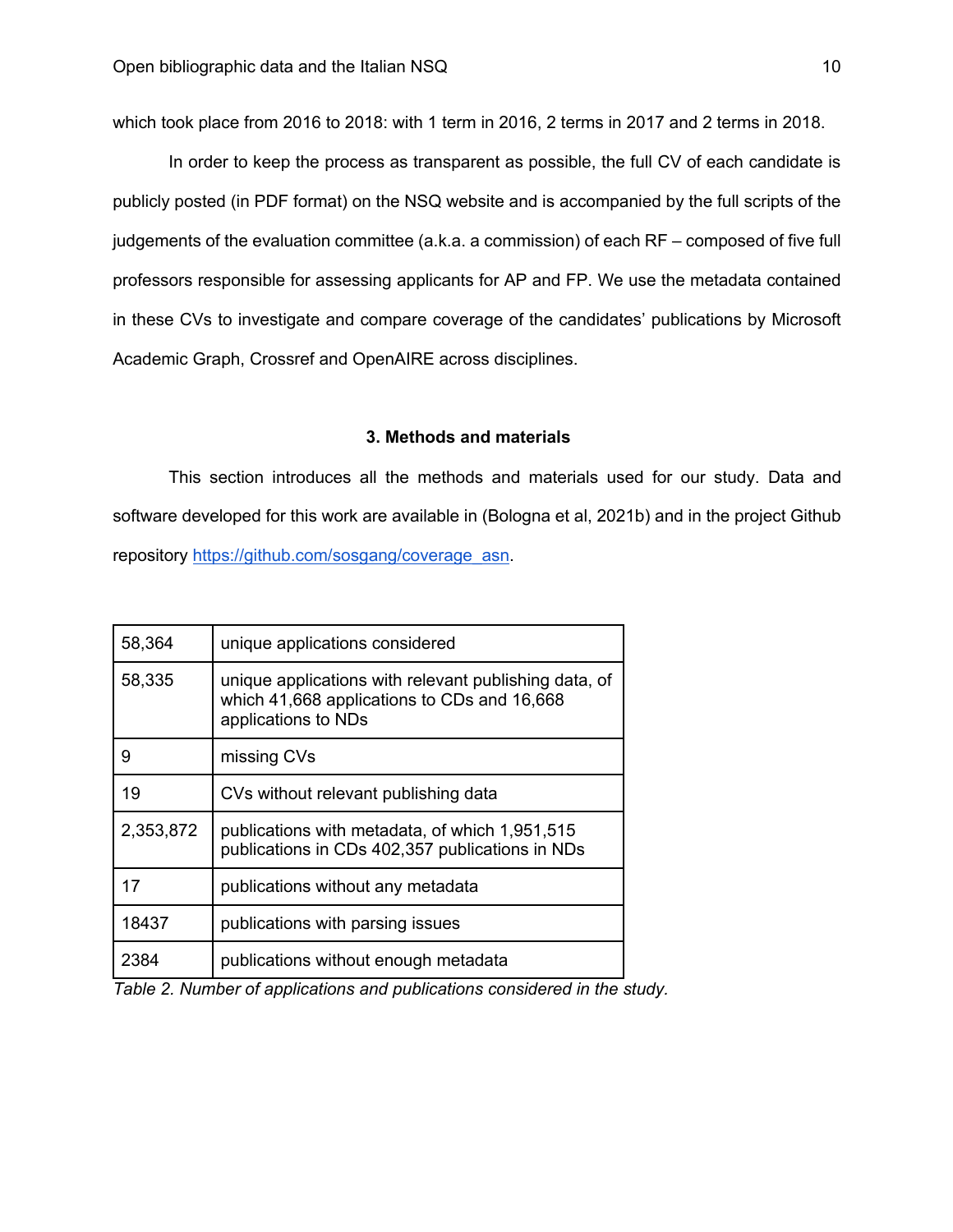which took place from 2016 to 2018: with 1 term in 2016, 2 terms in 2017 and 2 terms in 2018.

In order to keep the process as transparent as possible, the full CV of each candidate is publicly posted (in PDF format) on the NSQ website and is accompanied by the full scripts of the judgements of the evaluation committee (a.k.a. a commission) of each RF – composed of five full professors responsible for assessing applicants for AP and FP. We use the metadata contained in these CVs to investigate and compare coverage of the candidates' publications by Microsoft Academic Graph, Crossref and OpenAIRE across disciplines.

# **3. Methods and materials**

This section introduces all the methods and materials used for our study. Data and software developed for this work are available in (Bologna et al, 2021b) and in the project Github repository https://github.com/sosgang/coverage\_asn.

| 58,364    | unique applications considered                                                                                              |
|-----------|-----------------------------------------------------------------------------------------------------------------------------|
| 58,335    | unique applications with relevant publishing data, of<br>which 41,668 applications to CDs and 16,668<br>applications to NDs |
| 9         | missing CVs                                                                                                                 |
| 19        | CVs without relevant publishing data                                                                                        |
| 2,353,872 | publications with metadata, of which 1,951,515<br>publications in CDs 402,357 publications in NDs                           |
| 17        | publications without any metadata                                                                                           |
| 18437     | publications with parsing issues                                                                                            |
| 2384      | publications without enough metadata                                                                                        |

*Table 2. Number of applications and publications considered in the study.*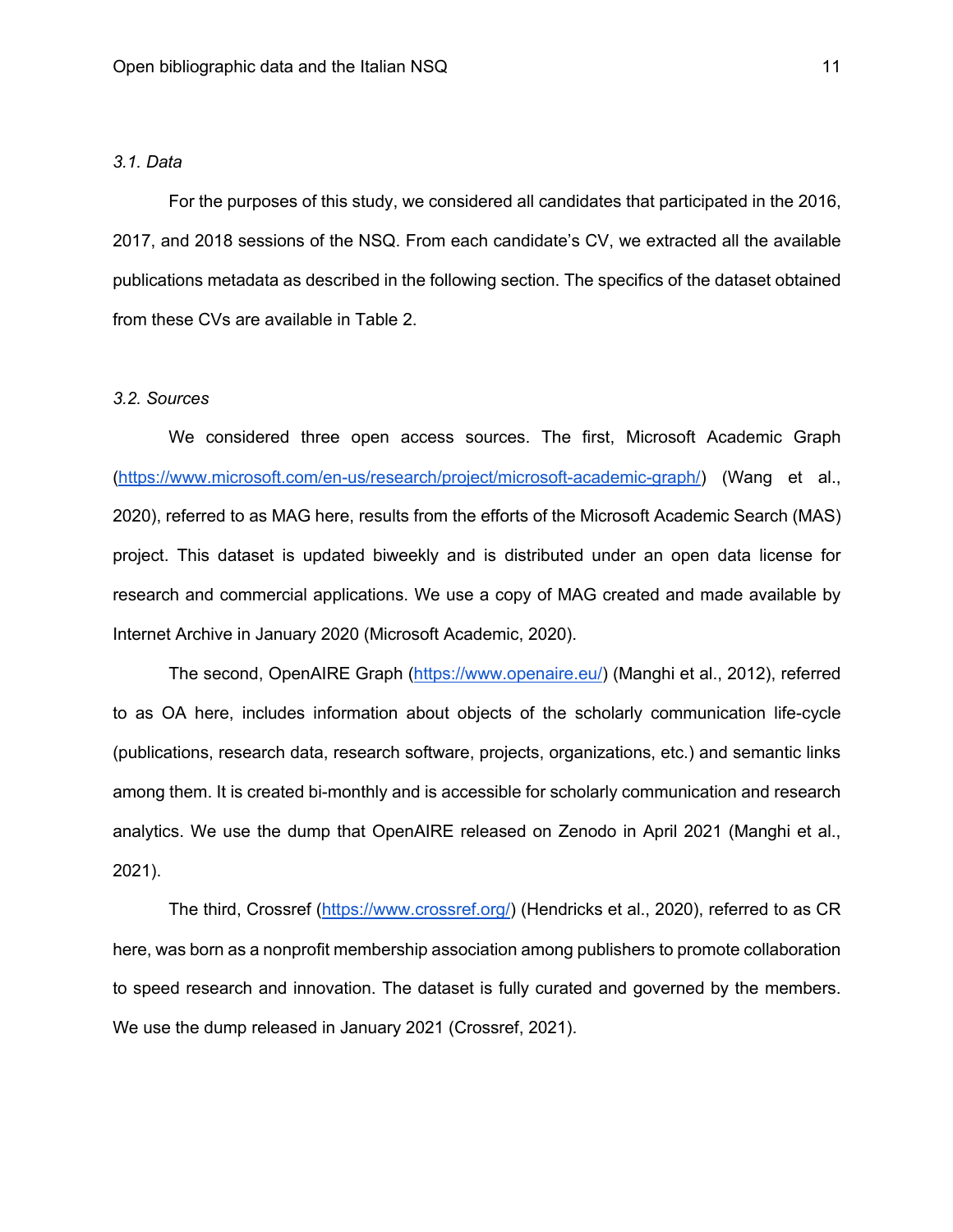# *3.1. Data*

For the purposes of this study, we considered all candidates that participated in the 2016, 2017, and 2018 sessions of the NSQ. From each candidate's CV, we extracted all the available publications metadata as described in the following section. The specifics of the dataset obtained from these CVs are available in Table 2.

## *3.2. Sources*

We considered three open access sources. The first, Microsoft Academic Graph (https://www.microsoft.com/en-us/research/project/microsoft-academic-graph/) (Wang et al., 2020), referred to as MAG here, results from the efforts of the Microsoft Academic Search (MAS) project. This dataset is updated biweekly and is distributed under an open data license for research and commercial applications. We use a copy of MAG created and made available by Internet Archive in January 2020 (Microsoft Academic, 2020).

The second, OpenAIRE Graph (https://www.openaire.eu/) (Manghi et al., 2012), referred to as OA here, includes information about objects of the scholarly communication life-cycle (publications, research data, research software, projects, organizations, etc.) and semantic links among them. It is created bi-monthly and is accessible for scholarly communication and research analytics. We use the dump that OpenAIRE released on Zenodo in April 2021 (Manghi et al., 2021).

The third, Crossref (https://www.crossref.org/) (Hendricks et al., 2020), referred to as CR here, was born as a nonprofit membership association among publishers to promote collaboration to speed research and innovation. The dataset is fully curated and governed by the members. We use the dump released in January 2021 (Crossref, 2021).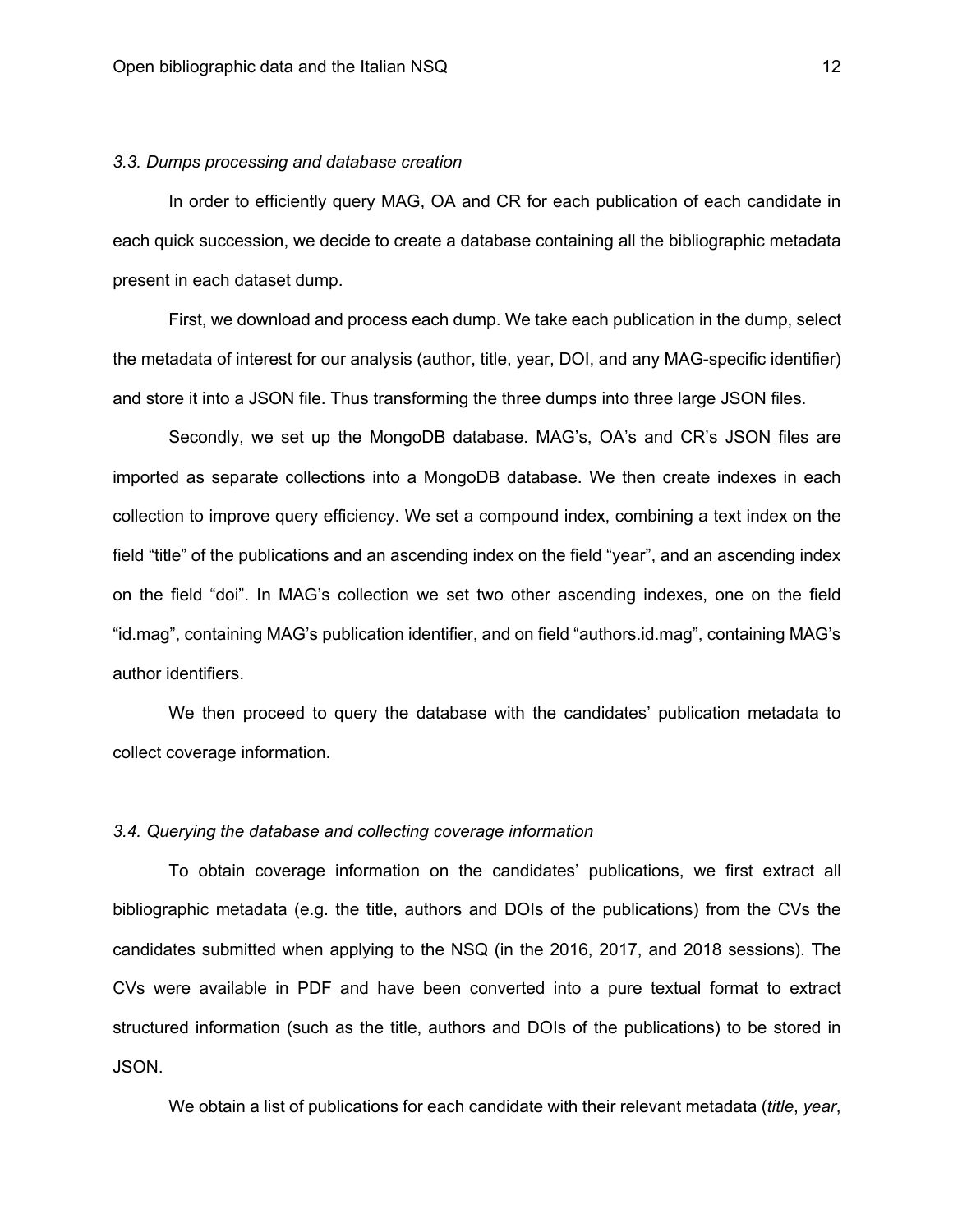# *3.3. Dumps processing and database creation*

In order to efficiently query MAG, OA and CR for each publication of each candidate in each quick succession, we decide to create a database containing all the bibliographic metadata present in each dataset dump.

First, we download and process each dump. We take each publication in the dump, select the metadata of interest for our analysis (author, title, year, DOI, and any MAG-specific identifier) and store it into a JSON file. Thus transforming the three dumps into three large JSON files.

Secondly, we set up the MongoDB database. MAG's, OA's and CR's JSON files are imported as separate collections into a MongoDB database. We then create indexes in each collection to improve query efficiency. We set a compound index, combining a text index on the field "title" of the publications and an ascending index on the field "year", and an ascending index on the field "doi". In MAG's collection we set two other ascending indexes, one on the field "id.mag", containing MAG's publication identifier, and on field "authors.id.mag", containing MAG's author identifiers.

We then proceed to query the database with the candidates' publication metadata to collect coverage information.

# *3.4. Querying the database and collecting coverage information*

To obtain coverage information on the candidates' publications, we first extract all bibliographic metadata (e.g. the title, authors and DOIs of the publications) from the CVs the candidates submitted when applying to the NSQ (in the 2016, 2017, and 2018 sessions). The CVs were available in PDF and have been converted into a pure textual format to extract structured information (such as the title, authors and DOIs of the publications) to be stored in JSON.

We obtain a list of publications for each candidate with their relevant metadata (*title*, *year*,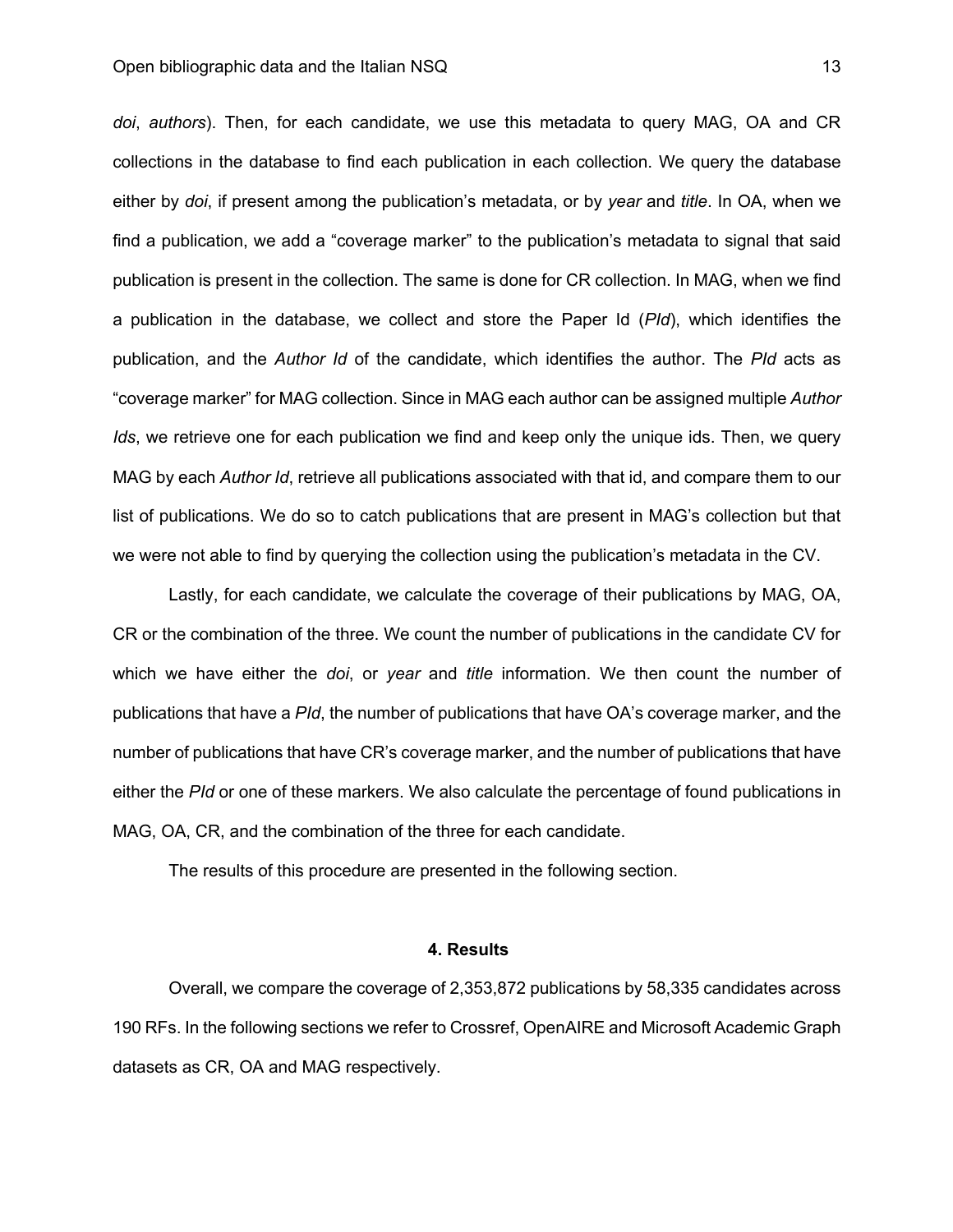*doi*, *authors*). Then, for each candidate, we use this metadata to query MAG, OA and CR collections in the database to find each publication in each collection. We query the database either by *doi*, if present among the publication's metadata, or by *year* and *title*. In OA, when we find a publication, we add a "coverage marker" to the publication's metadata to signal that said publication is present in the collection. The same is done for CR collection. In MAG, when we find a publication in the database, we collect and store the Paper Id (*PId*), which identifies the publication, and the *Author Id* of the candidate, which identifies the author. The *PId* acts as "coverage marker" for MAG collection. Since in MAG each author can be assigned multiple *Author Ids*, we retrieve one for each publication we find and keep only the unique ids. Then, we query MAG by each *Author Id*, retrieve all publications associated with that id, and compare them to our list of publications. We do so to catch publications that are present in MAG's collection but that we were not able to find by querying the collection using the publication's metadata in the CV.

Lastly, for each candidate, we calculate the coverage of their publications by MAG, OA, CR or the combination of the three. We count the number of publications in the candidate CV for which we have either the *doi*, or *year* and *title* information. We then count the number of publications that have a *PId*, the number of publications that have OA's coverage marker, and the number of publications that have CR's coverage marker, and the number of publications that have either the *PId* or one of these markers. We also calculate the percentage of found publications in MAG, OA, CR, and the combination of the three for each candidate.

The results of this procedure are presented in the following section.

## **4. Results**

Overall, we compare the coverage of 2,353,872 publications by 58,335 candidates across 190 RFs. In the following sections we refer to Crossref, OpenAIRE and Microsoft Academic Graph datasets as CR, OA and MAG respectively.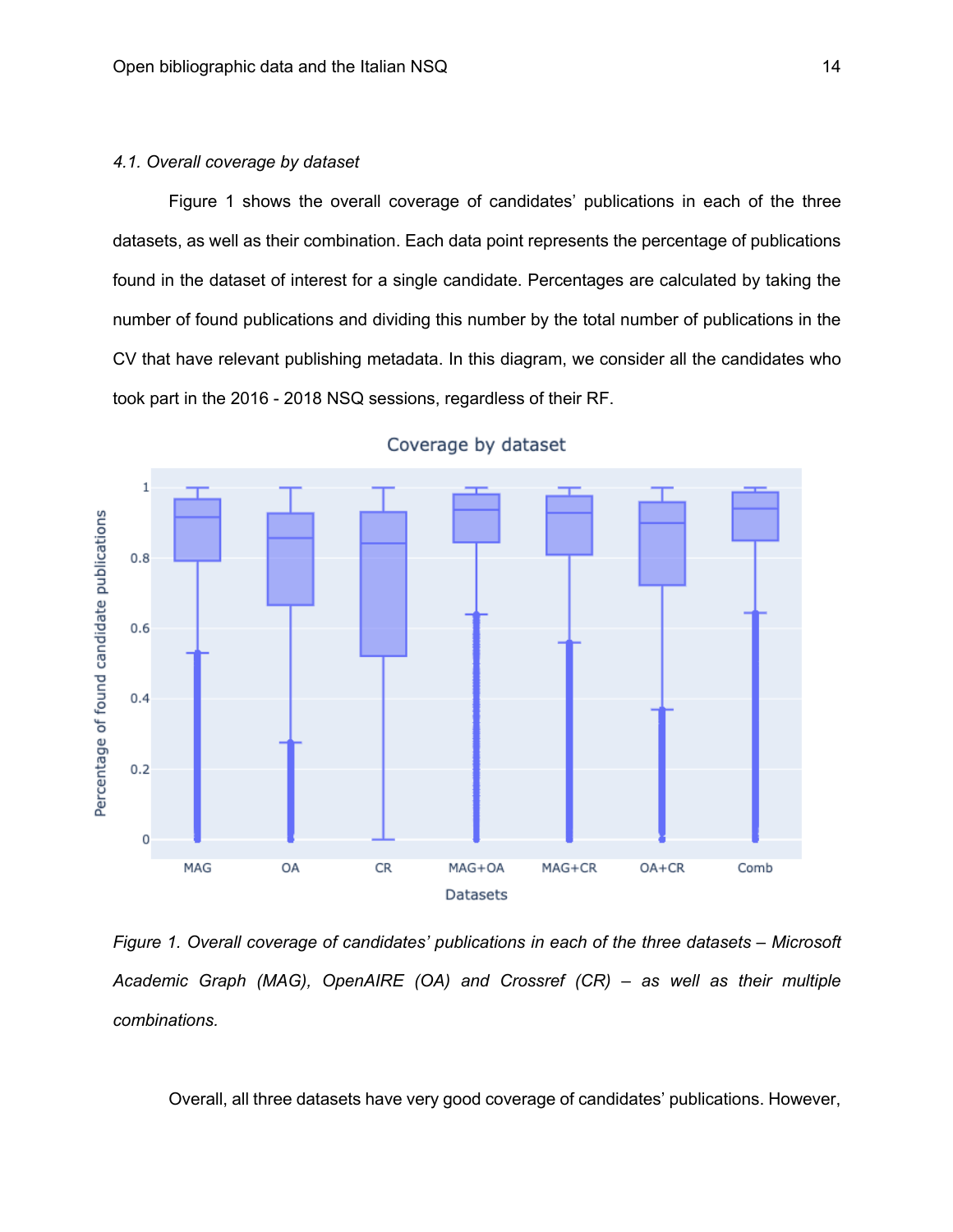# *4.1. Overall coverage by dataset*

Figure 1 shows the overall coverage of candidates' publications in each of the three datasets, as well as their combination. Each data point represents the percentage of publications found in the dataset of interest for a single candidate. Percentages are calculated by taking the number of found publications and dividing this number by the total number of publications in the CV that have relevant publishing metadata. In this diagram, we consider all the candidates who took part in the 2016 - 2018 NSQ sessions, regardless of their RF.



Coverage by dataset

*Figure 1. Overall coverage of candidates' publications in each of the three datasets – Microsoft Academic Graph (MAG), OpenAIRE (OA) and Crossref (CR) – as well as their multiple combinations.*

Overall, all three datasets have very good coverage of candidates' publications. However,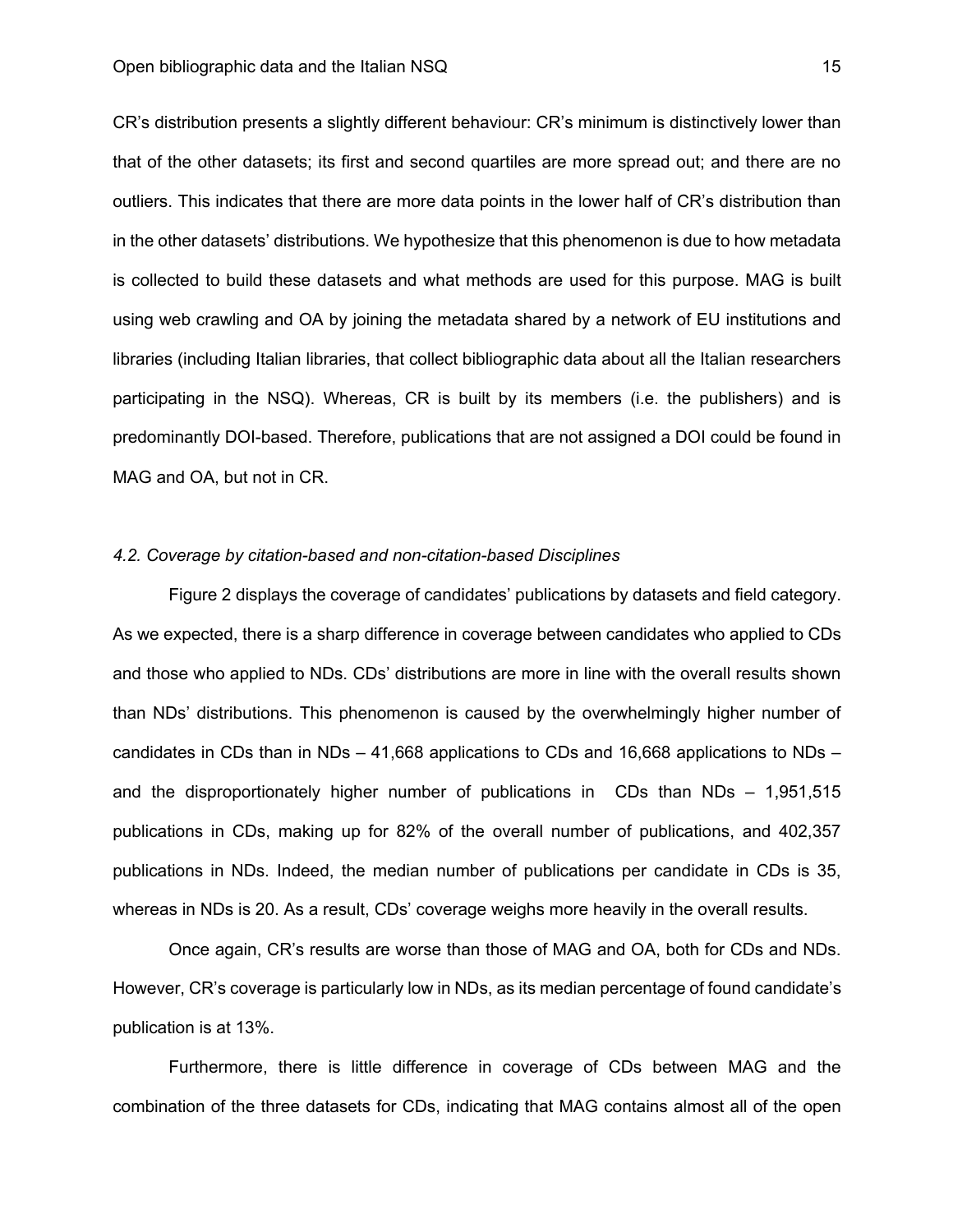CR's distribution presents a slightly different behaviour: CR's minimum is distinctively lower than that of the other datasets; its first and second quartiles are more spread out; and there are no outliers. This indicates that there are more data points in the lower half of CR's distribution than in the other datasets' distributions. We hypothesize that this phenomenon is due to how metadata is collected to build these datasets and what methods are used for this purpose. MAG is built using web crawling and OA by joining the metadata shared by a network of EU institutions and libraries (including Italian libraries, that collect bibliographic data about all the Italian researchers participating in the NSQ). Whereas, CR is built by its members (i.e. the publishers) and is predominantly DOI-based. Therefore, publications that are not assigned a DOI could be found in MAG and OA, but not in CR.

# *4.2. Coverage by citation-based and non-citation-based Disciplines*

Figure 2 displays the coverage of candidates' publications by datasets and field category. As we expected, there is a sharp difference in coverage between candidates who applied to CDs and those who applied to NDs. CDs' distributions are more in line with the overall results shown than NDs' distributions. This phenomenon is caused by the overwhelmingly higher number of candidates in CDs than in NDs – 41,668 applications to CDs and 16,668 applications to NDs – and the disproportionately higher number of publications in CDs than NDs – 1,951,515 publications in CDs, making up for 82% of the overall number of publications, and 402,357 publications in NDs. Indeed, the median number of publications per candidate in CDs is 35, whereas in NDs is 20. As a result, CDs' coverage weighs more heavily in the overall results.

Once again, CR's results are worse than those of MAG and OA, both for CDs and NDs. However, CR's coverage is particularly low in NDs, as its median percentage of found candidate's publication is at 13%.

Furthermore, there is little difference in coverage of CDs between MAG and the combination of the three datasets for CDs, indicating that MAG contains almost all of the open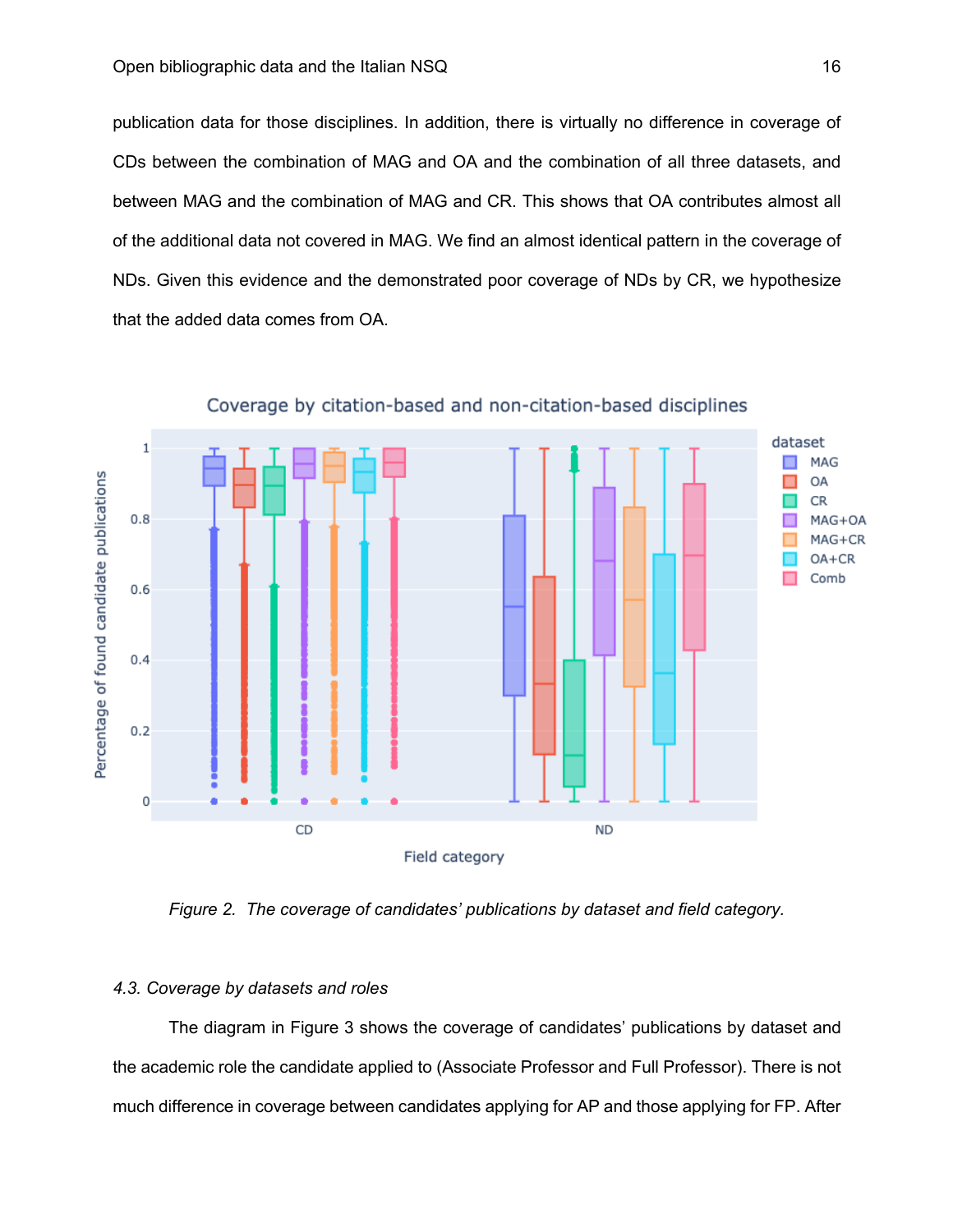publication data for those disciplines. In addition, there is virtually no difference in coverage of CDs between the combination of MAG and OA and the combination of all three datasets, and between MAG and the combination of MAG and CR. This shows that OA contributes almost all of the additional data not covered in MAG. We find an almost identical pattern in the coverage of NDs. Given this evidence and the demonstrated poor coverage of NDs by CR, we hypothesize that the added data comes from OA.



Coverage by citation-based and non-citation-based disciplines

*Figure 2. The coverage of candidates' publications by dataset and field category.*

# *4.3. Coverage by datasets and roles*

The diagram in Figure 3 shows the coverage of candidates' publications by dataset and the academic role the candidate applied to (Associate Professor and Full Professor). There is not much difference in coverage between candidates applying for AP and those applying for FP. After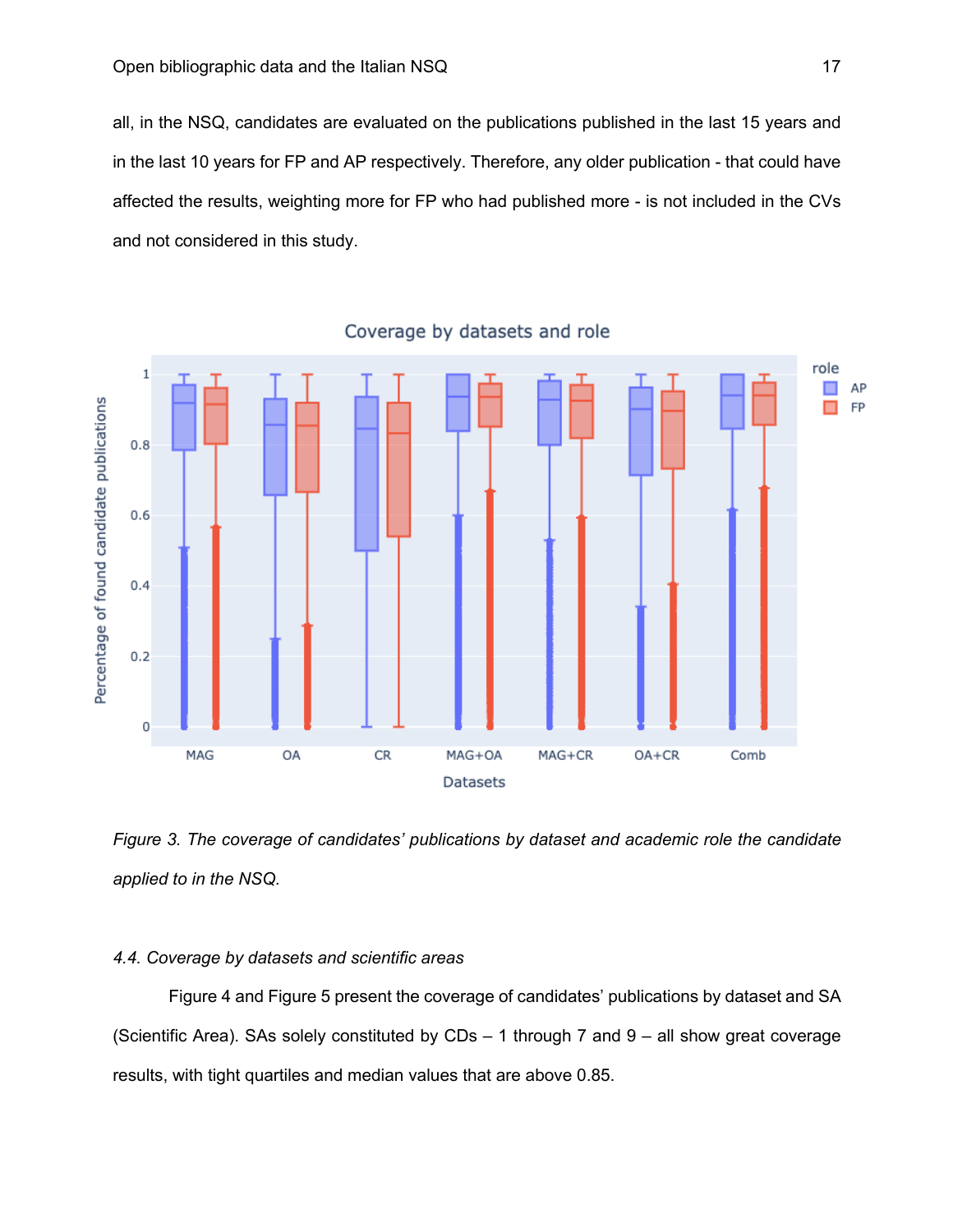all, in the NSQ, candidates are evaluated on the publications published in the last 15 years and in the last 10 years for FP and AP respectively. Therefore, any older publication - that could have affected the results, weighting more for FP who had published more - is not included in the CVs and not considered in this study.



Coverage by datasets and role

*Figure 3. The coverage of candidates' publications by dataset and academic role the candidate applied to in the NSQ.*

# *4.4. Coverage by datasets and scientific areas*

Figure 4 and Figure 5 present the coverage of candidates' publications by dataset and SA (Scientific Area). SAs solely constituted by CDs – 1 through 7 and 9 – all show great coverage results, with tight quartiles and median values that are above 0.85.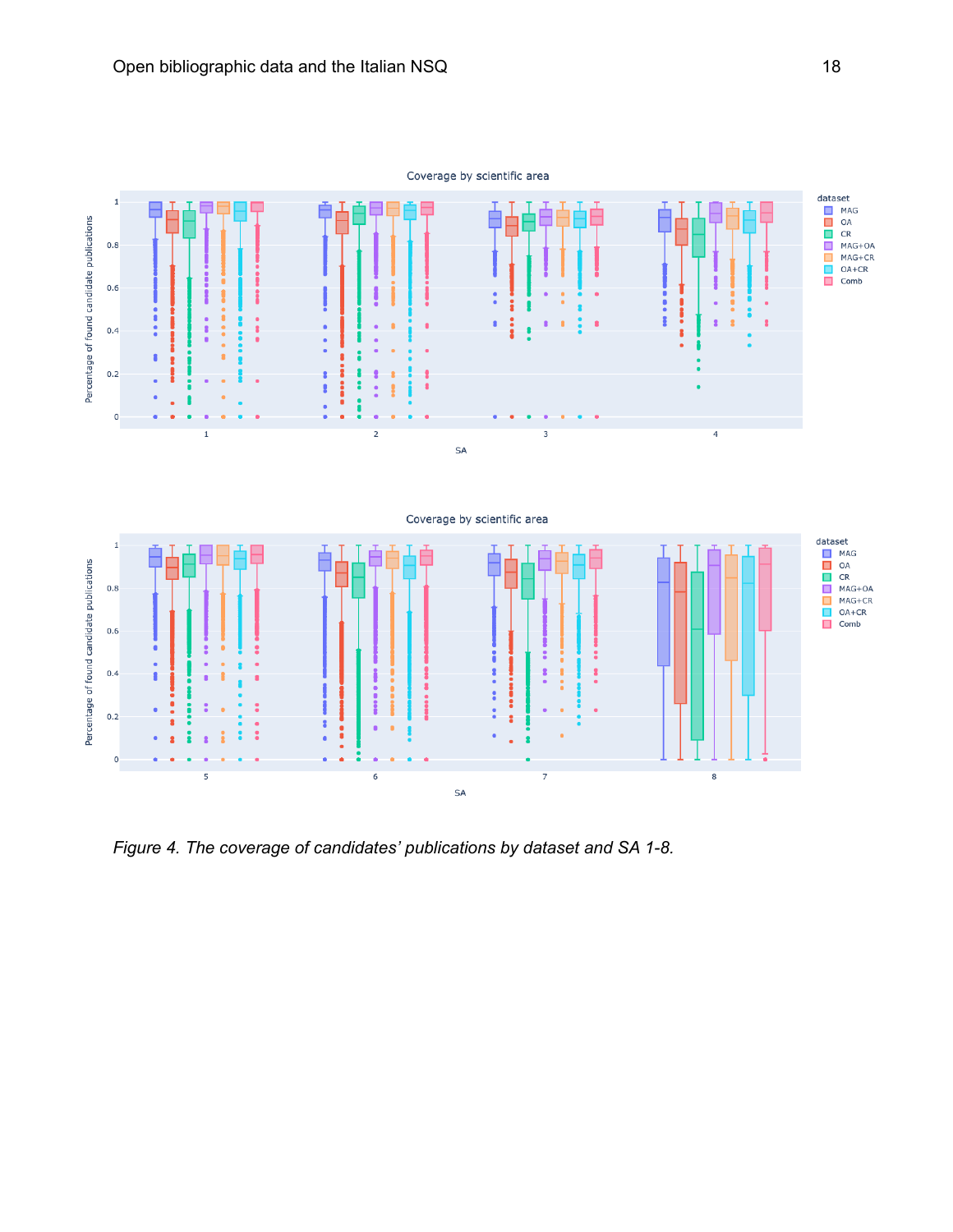

*Figure 4. The coverage of candidates' publications by dataset and SA 1-8.*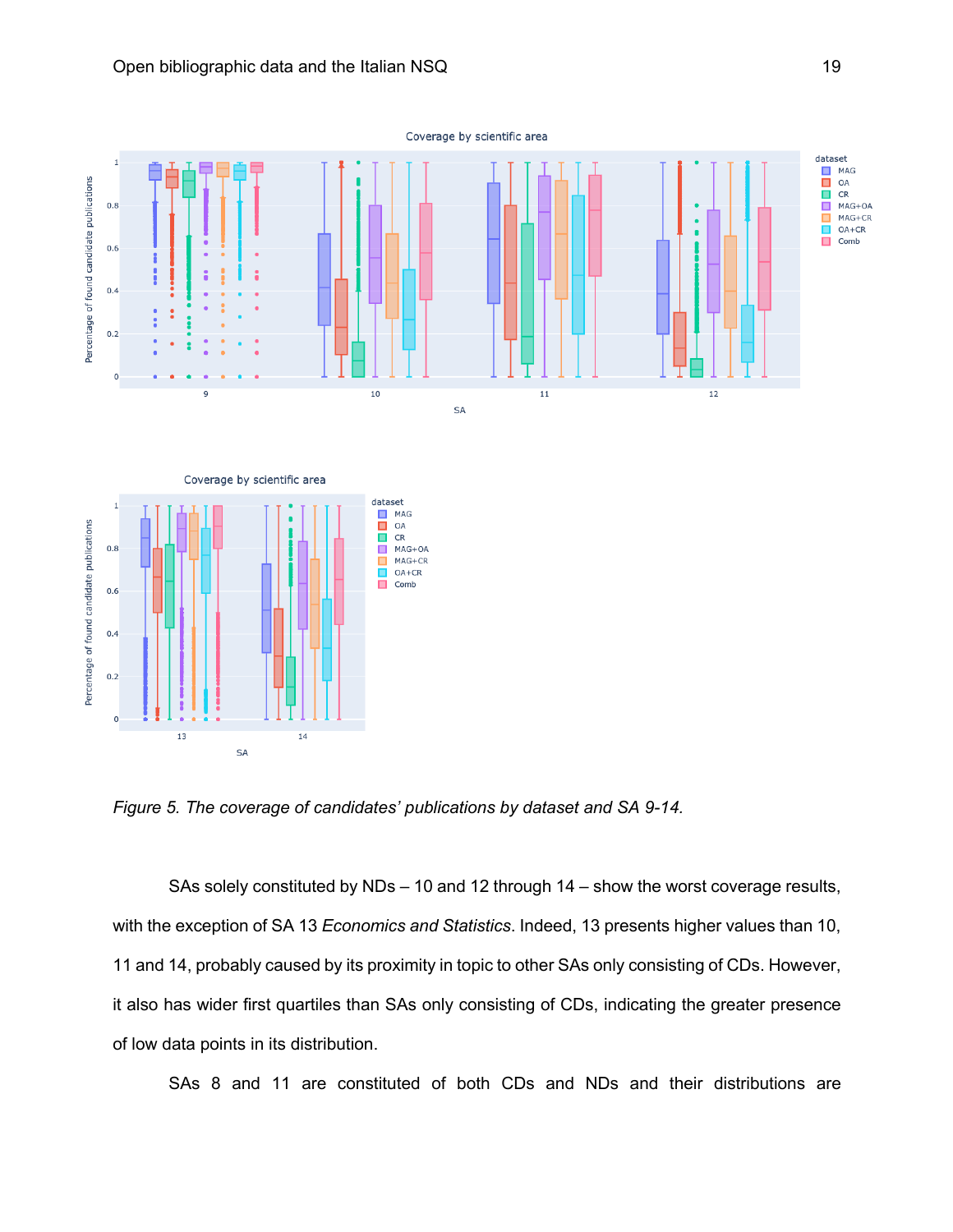

*Figure 5. The coverage of candidates' publications by dataset and SA 9-14.*

SAs solely constituted by NDs – 10 and 12 through 14 – show the worst coverage results, with the exception of SA 13 *Economics and Statistics*. Indeed, 13 presents higher values than 10, 11 and 14, probably caused by its proximity in topic to other SAs only consisting of CDs. However, it also has wider first quartiles than SAs only consisting of CDs, indicating the greater presence of low data points in its distribution.

SAs 8 and 11 are constituted of both CDs and NDs and their distributions are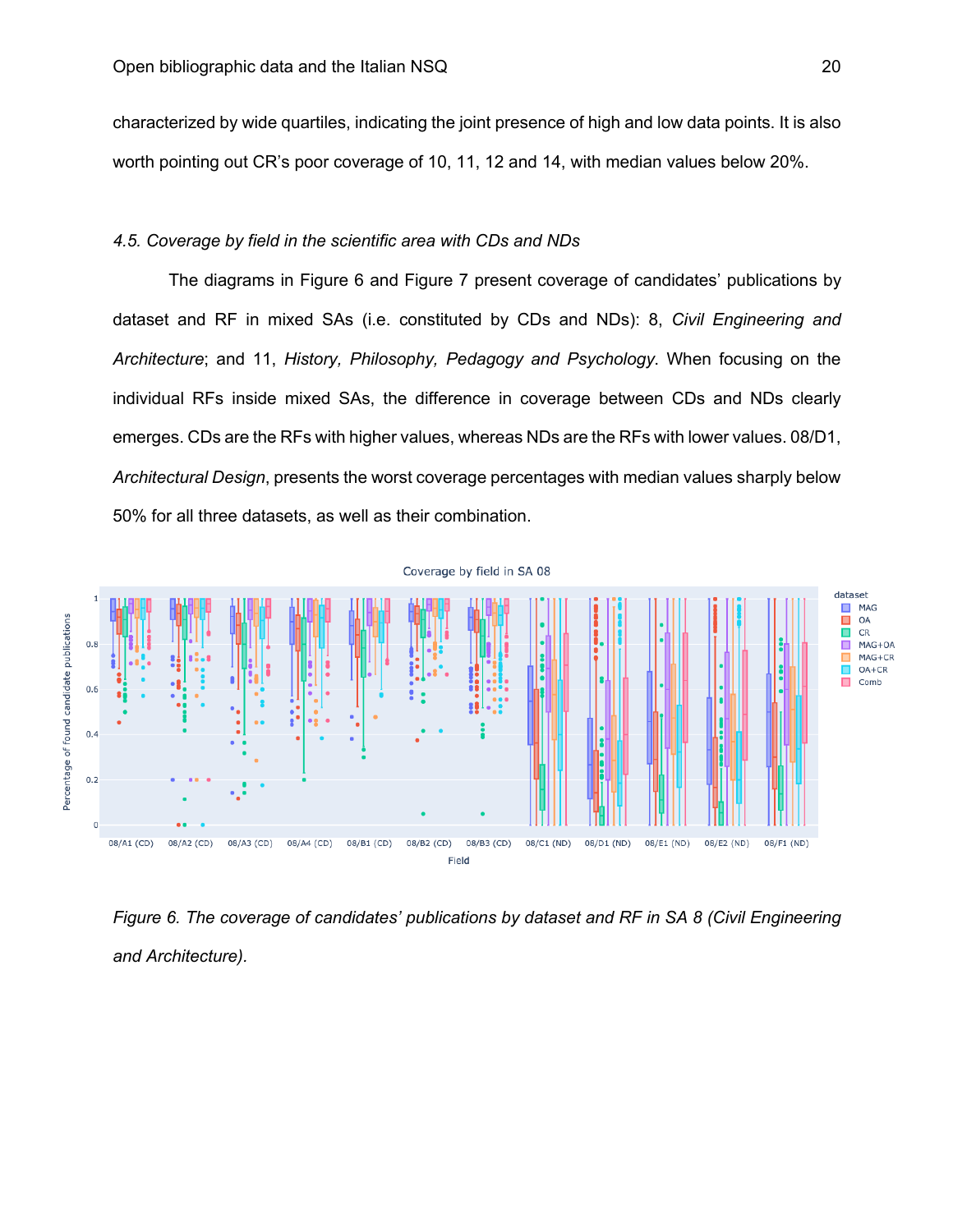characterized by wide quartiles, indicating the joint presence of high and low data points. It is also worth pointing out CR's poor coverage of 10, 11, 12 and 14, with median values below 20%.

# *4.5. Coverage by field in the scientific area with CDs and NDs*

The diagrams in Figure 6 and Figure 7 present coverage of candidates' publications by dataset and RF in mixed SAs (i.e. constituted by CDs and NDs): 8, *Civil Engineering and Architecture*; and 11, *History, Philosophy, Pedagogy and Psychology*. When focusing on the individual RFs inside mixed SAs, the difference in coverage between CDs and NDs clearly emerges. CDs are the RFs with higher values, whereas NDs are the RFs with lower values. 08/D1, *Architectural Design*, presents the worst coverage percentages with median values sharply below 50% for all three datasets, as well as their combination.



*Figure 6. The coverage of candidates' publications by dataset and RF in SA 8 (Civil Engineering and Architecture).*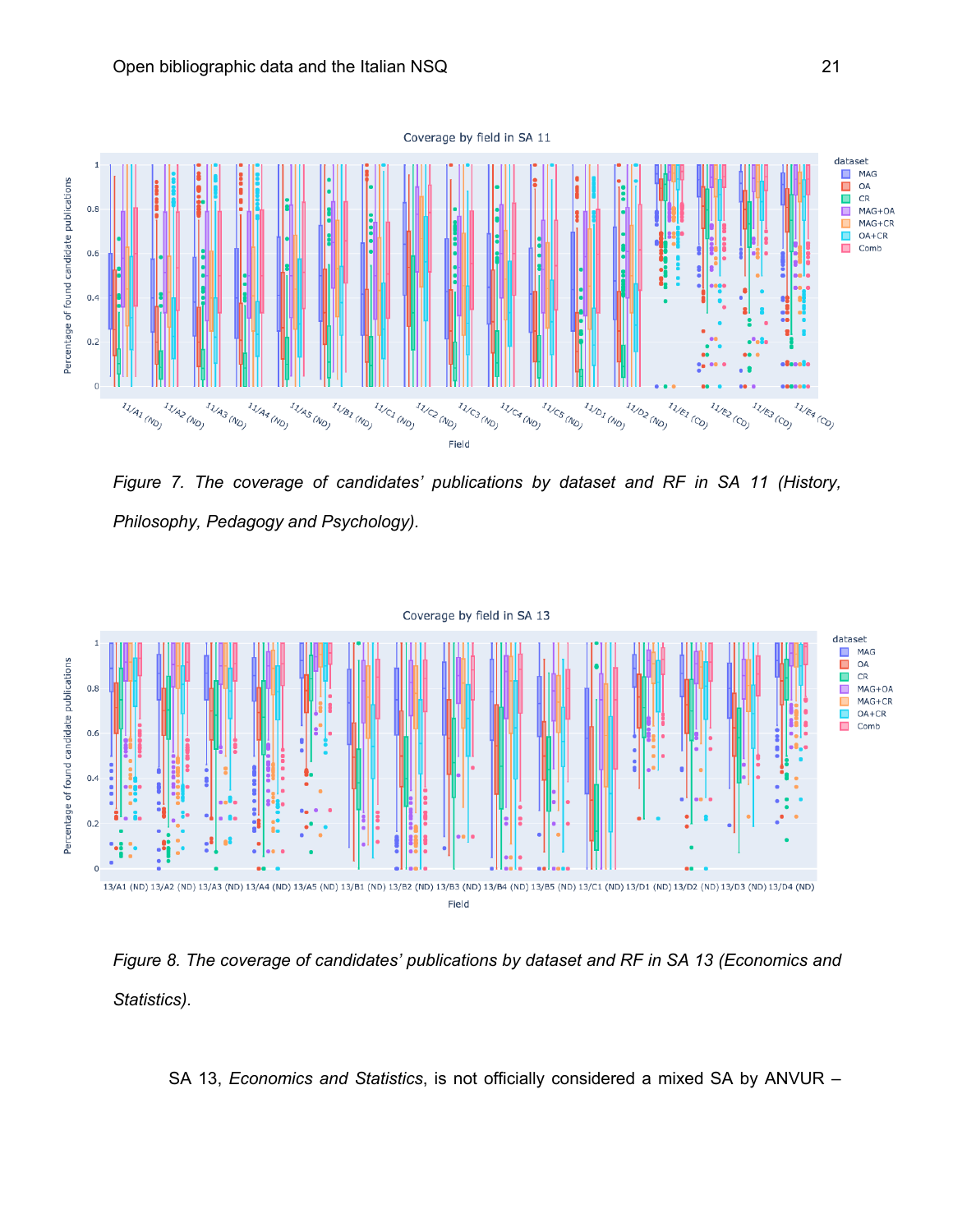

*Figure 7. The coverage of candidates' publications by dataset and RF in SA 11 (History, Philosophy, Pedagogy and Psychology).*





SA 13, *Economics and Statistics*, is not officially considered a mixed SA by ANVUR –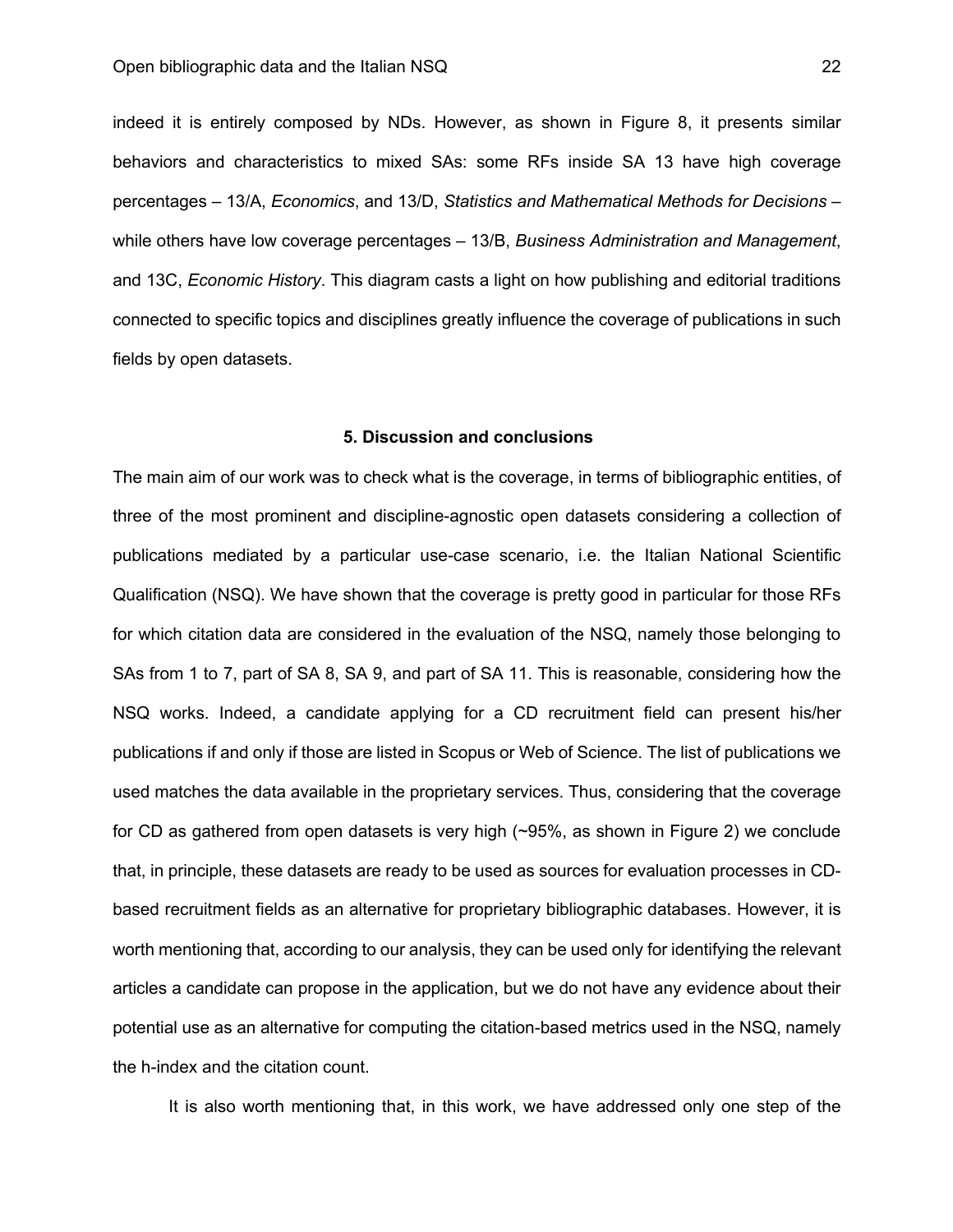indeed it is entirely composed by NDs. However, as shown in Figure 8, it presents similar behaviors and characteristics to mixed SAs: some RFs inside SA 13 have high coverage percentages – 13/A, *Economics*, and 13/D, *Statistics and Mathematical Methods for Decisions* – while others have low coverage percentages – 13/B, *Business Administration and Management*, and 13C, *Economic History*. This diagram casts a light on how publishing and editorial traditions connected to specific topics and disciplines greatly influence the coverage of publications in such fields by open datasets.

## **5. Discussion and conclusions**

The main aim of our work was to check what is the coverage, in terms of bibliographic entities, of three of the most prominent and discipline-agnostic open datasets considering a collection of publications mediated by a particular use-case scenario, i.e. the Italian National Scientific Qualification (NSQ). We have shown that the coverage is pretty good in particular for those RFs for which citation data are considered in the evaluation of the NSQ, namely those belonging to SAs from 1 to 7, part of SA 8, SA 9, and part of SA 11. This is reasonable, considering how the NSQ works. Indeed, a candidate applying for a CD recruitment field can present his/her publications if and only if those are listed in Scopus or Web of Science. The list of publications we used matches the data available in the proprietary services. Thus, considering that the coverage for CD as gathered from open datasets is very high (~95%, as shown in Figure 2) we conclude that, in principle, these datasets are ready to be used as sources for evaluation processes in CDbased recruitment fields as an alternative for proprietary bibliographic databases. However, it is worth mentioning that, according to our analysis, they can be used only for identifying the relevant articles a candidate can propose in the application, but we do not have any evidence about their potential use as an alternative for computing the citation-based metrics used in the NSQ, namely the h-index and the citation count.

It is also worth mentioning that, in this work, we have addressed only one step of the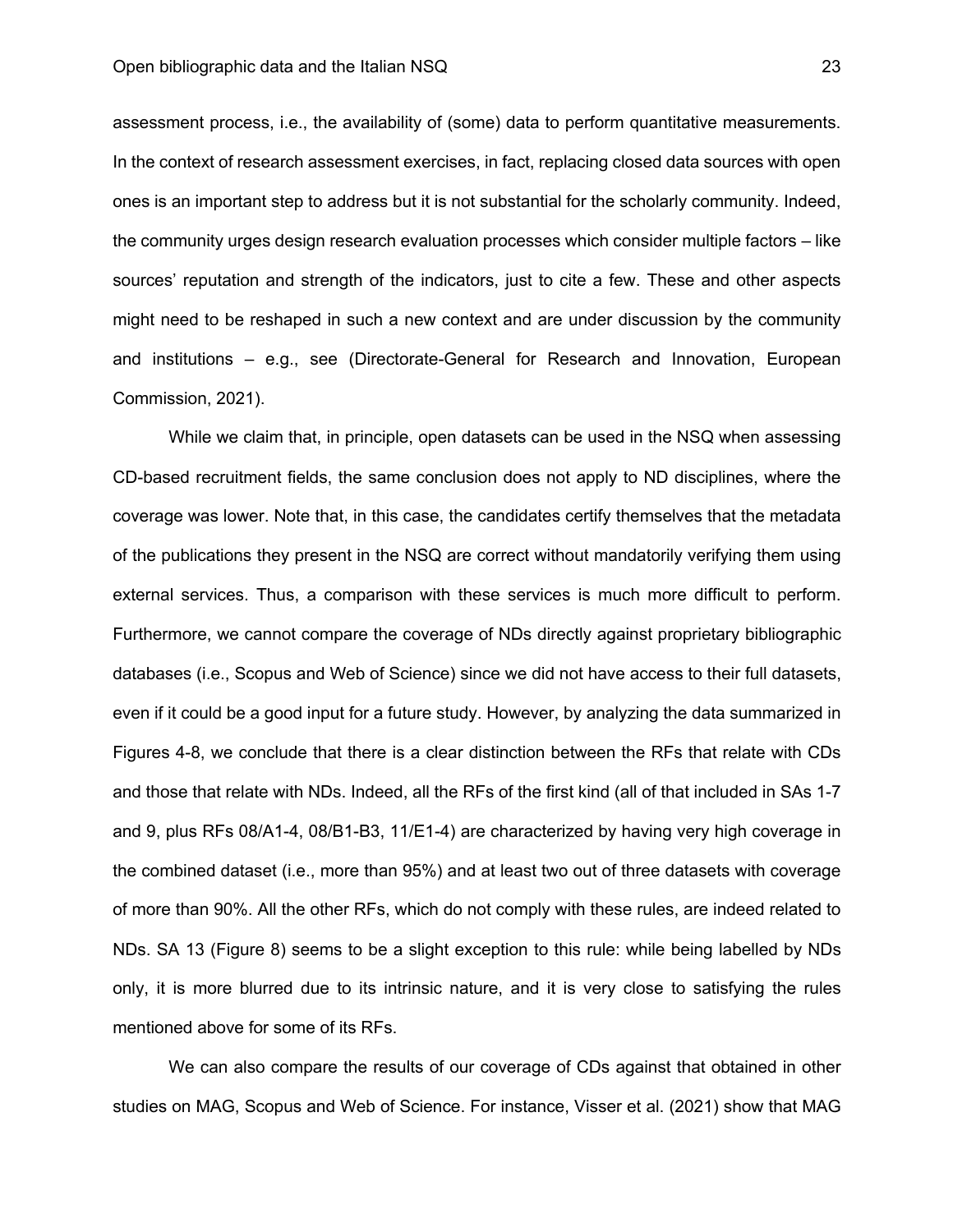assessment process, i.e., the availability of (some) data to perform quantitative measurements. In the context of research assessment exercises, in fact, replacing closed data sources with open ones is an important step to address but it is not substantial for the scholarly community. Indeed, the community urges design research evaluation processes which consider multiple factors – like sources' reputation and strength of the indicators, just to cite a few. These and other aspects might need to be reshaped in such a new context and are under discussion by the community and institutions – e.g., see (Directorate-General for Research and Innovation, European Commission, 2021).

While we claim that, in principle, open datasets can be used in the NSQ when assessing CD-based recruitment fields, the same conclusion does not apply to ND disciplines, where the coverage was lower. Note that, in this case, the candidates certify themselves that the metadata of the publications they present in the NSQ are correct without mandatorily verifying them using external services. Thus, a comparison with these services is much more difficult to perform. Furthermore, we cannot compare the coverage of NDs directly against proprietary bibliographic databases (i.e., Scopus and Web of Science) since we did not have access to their full datasets, even if it could be a good input for a future study. However, by analyzing the data summarized in Figures 4-8, we conclude that there is a clear distinction between the RFs that relate with CDs and those that relate with NDs. Indeed, all the RFs of the first kind (all of that included in SAs 1-7 and 9, plus RFs 08/A1-4, 08/B1-B3, 11/E1-4) are characterized by having very high coverage in the combined dataset (i.e., more than 95%) and at least two out of three datasets with coverage of more than 90%. All the other RFs, which do not comply with these rules, are indeed related to NDs. SA 13 (Figure 8) seems to be a slight exception to this rule: while being labelled by NDs only, it is more blurred due to its intrinsic nature, and it is very close to satisfying the rules mentioned above for some of its RFs.

We can also compare the results of our coverage of CDs against that obtained in other studies on MAG, Scopus and Web of Science. For instance, Visser et al. (2021) show that MAG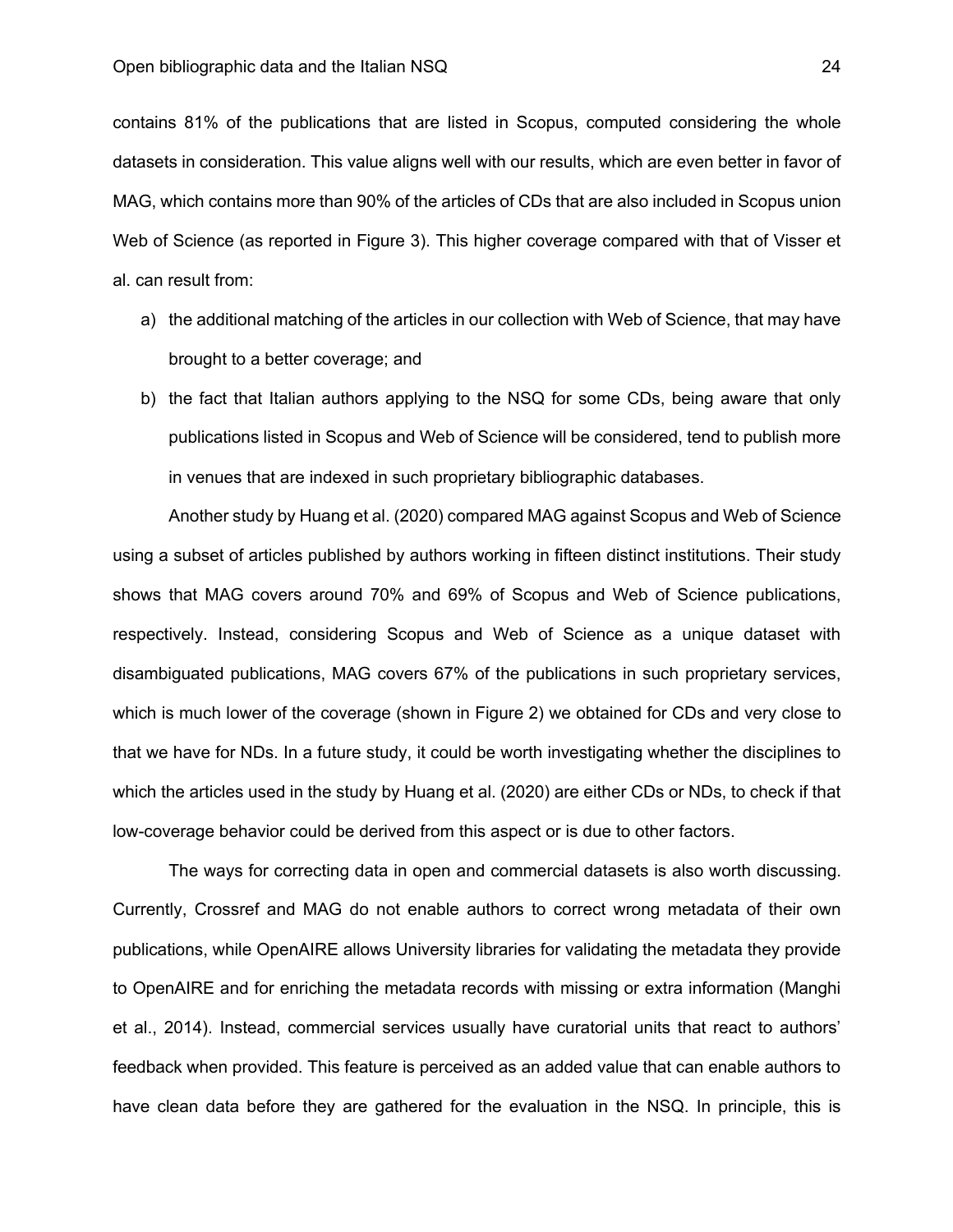contains 81% of the publications that are listed in Scopus, computed considering the whole datasets in consideration. This value aligns well with our results, which are even better in favor of MAG, which contains more than 90% of the articles of CDs that are also included in Scopus union Web of Science (as reported in Figure 3). This higher coverage compared with that of Visser et al. can result from:

- a) the additional matching of the articles in our collection with Web of Science, that may have brought to a better coverage; and
- b) the fact that Italian authors applying to the NSQ for some CDs, being aware that only publications listed in Scopus and Web of Science will be considered, tend to publish more in venues that are indexed in such proprietary bibliographic databases.

Another study by Huang et al. (2020) compared MAG against Scopus and Web of Science using a subset of articles published by authors working in fifteen distinct institutions. Their study shows that MAG covers around 70% and 69% of Scopus and Web of Science publications, respectively. Instead, considering Scopus and Web of Science as a unique dataset with disambiguated publications, MAG covers 67% of the publications in such proprietary services, which is much lower of the coverage (shown in Figure 2) we obtained for CDs and very close to that we have for NDs. In a future study, it could be worth investigating whether the disciplines to which the articles used in the study by Huang et al. (2020) are either CDs or NDs, to check if that low-coverage behavior could be derived from this aspect or is due to other factors.

The ways for correcting data in open and commercial datasets is also worth discussing. Currently, Crossref and MAG do not enable authors to correct wrong metadata of their own publications, while OpenAIRE allows University libraries for validating the metadata they provide to OpenAIRE and for enriching the metadata records with missing or extra information (Manghi et al., 2014). Instead, commercial services usually have curatorial units that react to authors' feedback when provided. This feature is perceived as an added value that can enable authors to have clean data before they are gathered for the evaluation in the NSQ. In principle, this is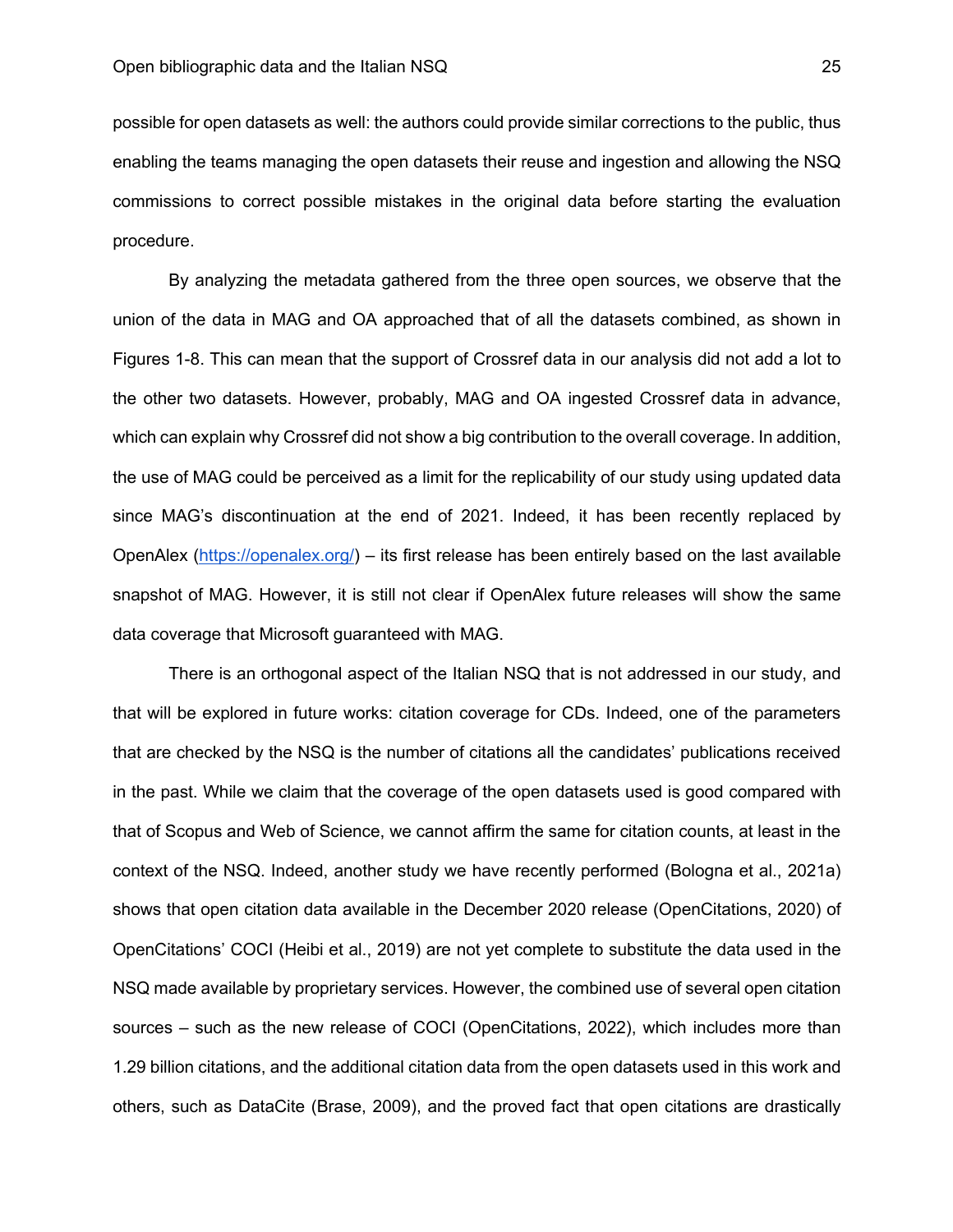possible for open datasets as well: the authors could provide similar corrections to the public, thus enabling the teams managing the open datasets their reuse and ingestion and allowing the NSQ commissions to correct possible mistakes in the original data before starting the evaluation procedure.

By analyzing the metadata gathered from the three open sources, we observe that the union of the data in MAG and OA approached that of all the datasets combined, as shown in Figures 1-8. This can mean that the support of Crossref data in our analysis did not add a lot to the other two datasets. However, probably, MAG and OA ingested Crossref data in advance, which can explain why Crossref did not show a big contribution to the overall coverage. In addition, the use of MAG could be perceived as a limit for the replicability of our study using updated data since MAG's discontinuation at the end of 2021. Indeed, it has been recently replaced by OpenAlex (https://openalex.org/) – its first release has been entirely based on the last available snapshot of MAG. However, it is still not clear if OpenAlex future releases will show the same data coverage that Microsoft guaranteed with MAG.

There is an orthogonal aspect of the Italian NSQ that is not addressed in our study, and that will be explored in future works: citation coverage for CDs. Indeed, one of the parameters that are checked by the NSQ is the number of citations all the candidates' publications received in the past. While we claim that the coverage of the open datasets used is good compared with that of Scopus and Web of Science, we cannot affirm the same for citation counts, at least in the context of the NSQ. Indeed, another study we have recently performed (Bologna et al., 2021a) shows that open citation data available in the December 2020 release (OpenCitations, 2020) of OpenCitations' COCI (Heibi et al., 2019) are not yet complete to substitute the data used in the NSQ made available by proprietary services. However, the combined use of several open citation sources – such as the new release of COCI (OpenCitations, 2022), which includes more than 1.29 billion citations, and the additional citation data from the open datasets used in this work and others, such as DataCite (Brase, 2009), and the proved fact that open citations are drastically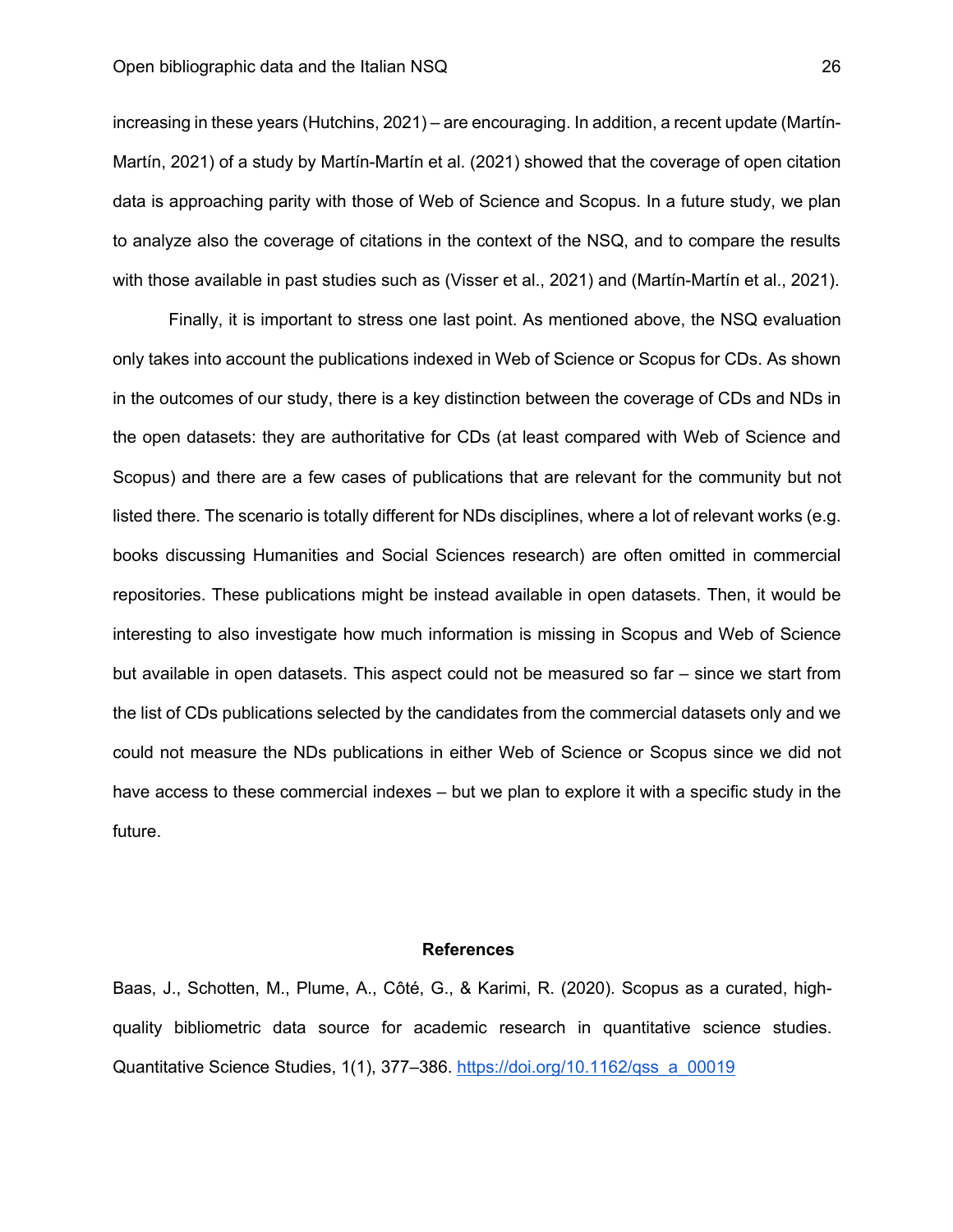increasing in these years (Hutchins, 2021) – are encouraging. In addition, a recent update (Martín-Martín, 2021) of a study by Martín-Martín et al. (2021) showed that the coverage of open citation data is approaching parity with those of Web of Science and Scopus. In a future study, we plan to analyze also the coverage of citations in the context of the NSQ, and to compare the results with those available in past studies such as (Visser et al., 2021) and (Martín-Martín et al., 2021).

Finally, it is important to stress one last point. As mentioned above, the NSQ evaluation only takes into account the publications indexed in Web of Science or Scopus for CDs. As shown in the outcomes of our study, there is a key distinction between the coverage of CDs and NDs in the open datasets: they are authoritative for CDs (at least compared with Web of Science and Scopus) and there are a few cases of publications that are relevant for the community but not listed there. The scenario is totally different for NDs disciplines, where a lot of relevant works (e.g. books discussing Humanities and Social Sciences research) are often omitted in commercial repositories. These publications might be instead available in open datasets. Then, it would be interesting to also investigate how much information is missing in Scopus and Web of Science but available in open datasets. This aspect could not be measured so far – since we start from the list of CDs publications selected by the candidates from the commercial datasets only and we could not measure the NDs publications in either Web of Science or Scopus since we did not have access to these commercial indexes – but we plan to explore it with a specific study in the future.

# **References**

Baas, J., Schotten, M., Plume, A., Côté, G., & Karimi, R. (2020). Scopus as a curated, highquality bibliometric data source for academic research in quantitative science studies. Quantitative Science Studies, 1(1), 377–386. https://doi.org/10.1162/qss\_a\_00019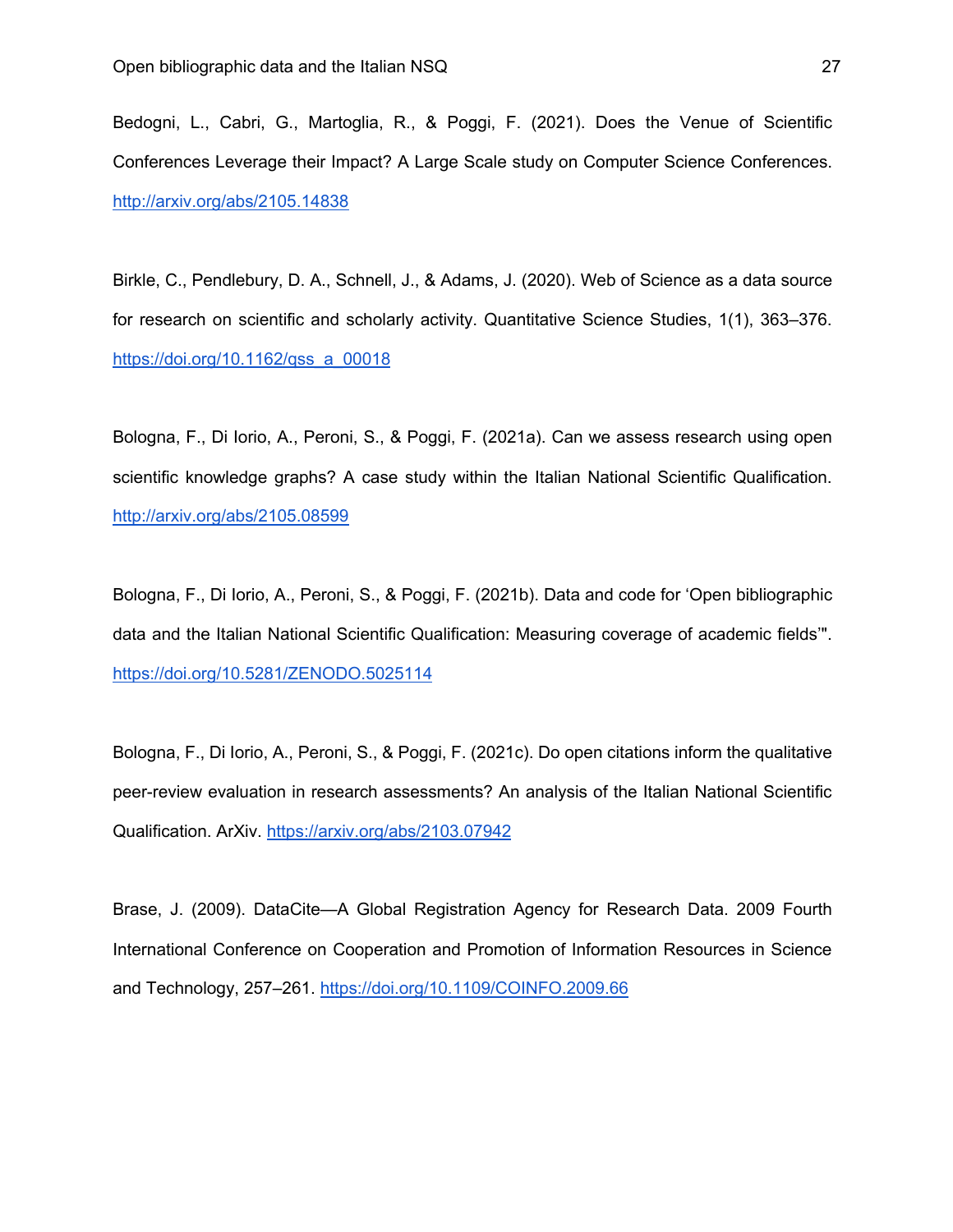Bedogni, L., Cabri, G., Martoglia, R., & Poggi, F. (2021). Does the Venue of Scientific Conferences Leverage their Impact? A Large Scale study on Computer Science Conferences. http://arxiv.org/abs/2105.14838

Birkle, C., Pendlebury, D. A., Schnell, J., & Adams, J. (2020). Web of Science as a data source for research on scientific and scholarly activity. Quantitative Science Studies, 1(1), 363–376. https://doi.org/10.1162/qss\_a\_00018

Bologna, F., Di Iorio, A., Peroni, S., & Poggi, F. (2021a). Can we assess research using open scientific knowledge graphs? A case study within the Italian National Scientific Qualification. http://arxiv.org/abs/2105.08599

Bologna, F., Di Iorio, A., Peroni, S., & Poggi, F. (2021b). Data and code for 'Open bibliographic data and the Italian National Scientific Qualification: Measuring coverage of academic fields'". https://doi.org/10.5281/ZENODO.5025114

Bologna, F., Di Iorio, A., Peroni, S., & Poggi, F. (2021c). Do open citations inform the qualitative peer-review evaluation in research assessments? An analysis of the Italian National Scientific Qualification. ArXiv. https://arxiv.org/abs/2103.07942

Brase, J. (2009). DataCite—A Global Registration Agency for Research Data. 2009 Fourth International Conference on Cooperation and Promotion of Information Resources in Science and Technology, 257–261. https://doi.org/10.1109/COINFO.2009.66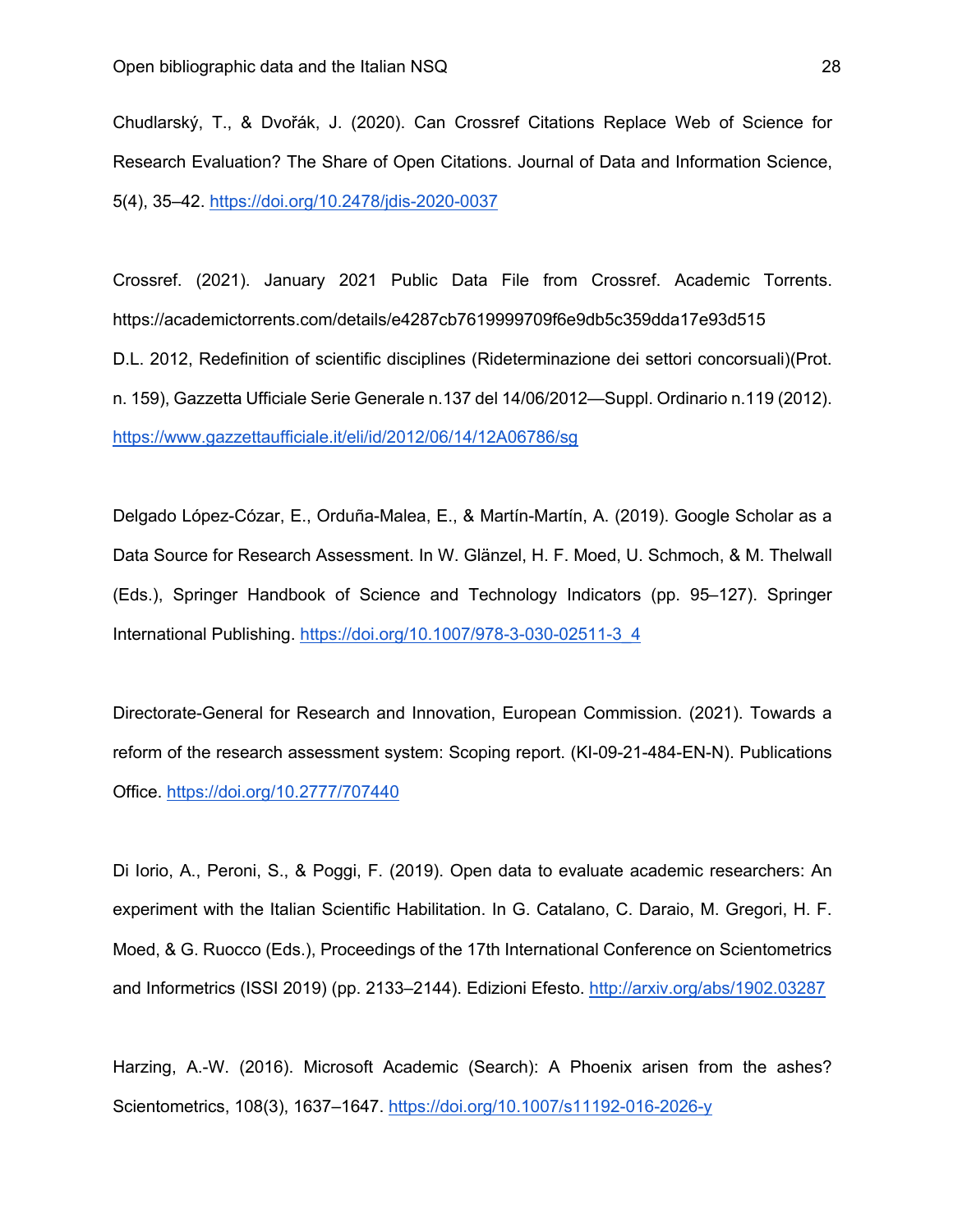Chudlarský, T., & Dvořák, J. (2020). Can Crossref Citations Replace Web of Science for Research Evaluation? The Share of Open Citations. Journal of Data and Information Science, 5(4), 35–42. https://doi.org/10.2478/jdis-2020-0037

Crossref. (2021). January 2021 Public Data File from Crossref. Academic Torrents. https://academictorrents.com/details/e4287cb7619999709f6e9db5c359dda17e93d515 D.L. 2012, Redefinition of scientific disciplines (Rideterminazione dei settori concorsuali)(Prot. n. 159), Gazzetta Ufficiale Serie Generale n.137 del 14/06/2012—Suppl. Ordinario n.119 (2012). https://www.gazzettaufficiale.it/eli/id/2012/06/14/12A06786/sg

Delgado López-Cózar, E., Orduña-Malea, E., & Martín-Martín, A. (2019). Google Scholar as a Data Source for Research Assessment. In W. Glänzel, H. F. Moed, U. Schmoch, & M. Thelwall (Eds.), Springer Handbook of Science and Technology Indicators (pp. 95–127). Springer International Publishing. https://doi.org/10.1007/978-3-030-02511-3\_4

Directorate-General for Research and Innovation, European Commission. (2021). Towards a reform of the research assessment system: Scoping report. (KI-09-21-484-EN-N). Publications Office. https://doi.org/10.2777/707440

Di Iorio, A., Peroni, S., & Poggi, F. (2019). Open data to evaluate academic researchers: An experiment with the Italian Scientific Habilitation. In G. Catalano, C. Daraio, M. Gregori, H. F. Moed, & G. Ruocco (Eds.), Proceedings of the 17th International Conference on Scientometrics and Informetrics (ISSI 2019) (pp. 2133–2144). Edizioni Efesto. http://arxiv.org/abs/1902.03287

Harzing, A.-W. (2016). Microsoft Academic (Search): A Phoenix arisen from the ashes? Scientometrics, 108(3), 1637–1647. https://doi.org/10.1007/s11192-016-2026-y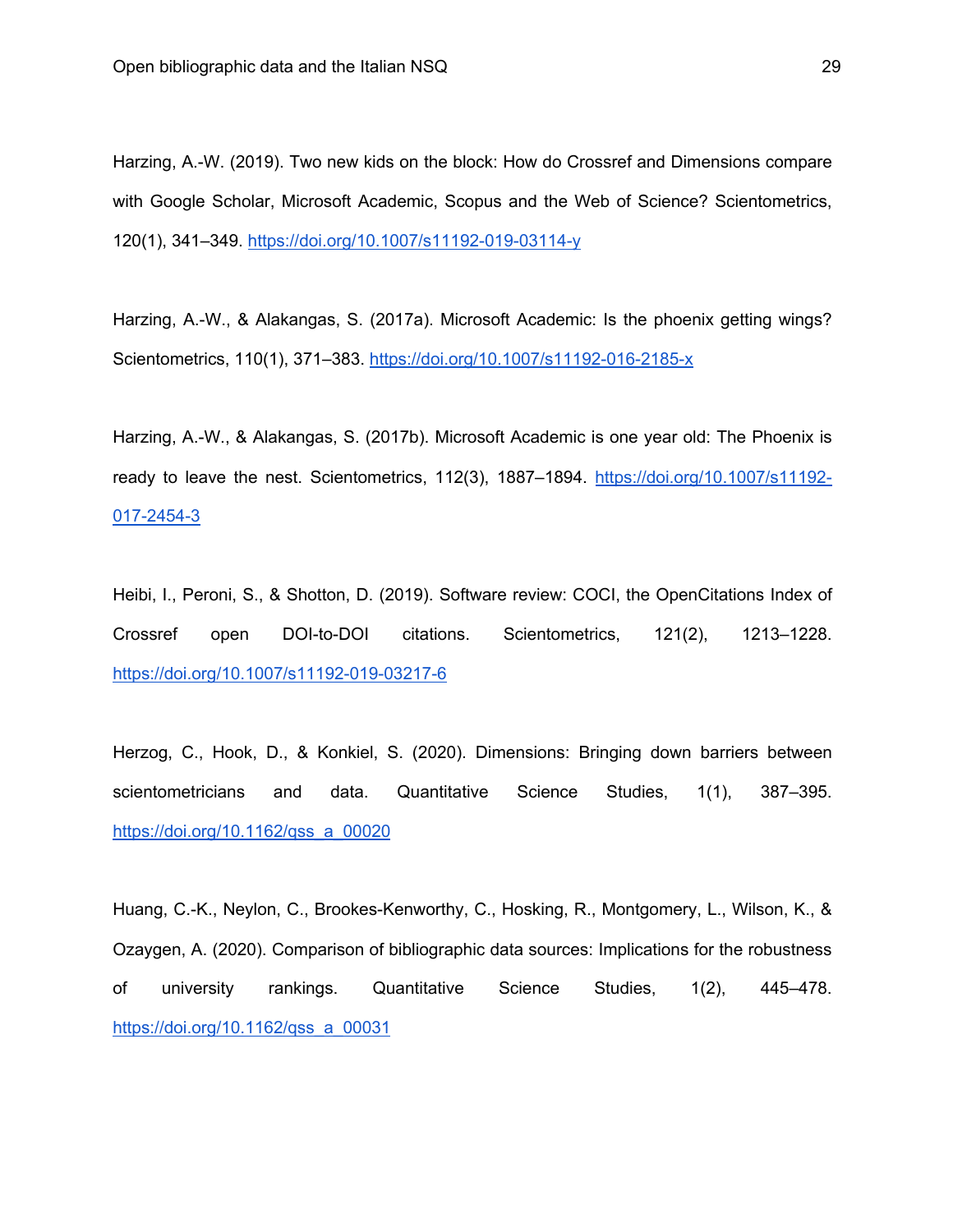Harzing, A.-W. (2019). Two new kids on the block: How do Crossref and Dimensions compare with Google Scholar, Microsoft Academic, Scopus and the Web of Science? Scientometrics, 120(1), 341–349. https://doi.org/10.1007/s11192-019-03114-y

Harzing, A.-W., & Alakangas, S. (2017a). Microsoft Academic: Is the phoenix getting wings? Scientometrics, 110(1), 371–383. https://doi.org/10.1007/s11192-016-2185-x

Harzing, A.-W., & Alakangas, S. (2017b). Microsoft Academic is one year old: The Phoenix is ready to leave the nest. Scientometrics, 112(3), 1887-1894. https://doi.org/10.1007/s11192-017-2454-3

Heibi, I., Peroni, S., & Shotton, D. (2019). Software review: COCI, the OpenCitations Index of Crossref open DOI-to-DOI citations. Scientometrics, 121(2), 1213–1228. https://doi.org/10.1007/s11192-019-03217-6

Herzog, C., Hook, D., & Konkiel, S. (2020). Dimensions: Bringing down barriers between scientometricians and data. Quantitative Science Studies, 1(1), 387–395. https://doi.org/10.1162/qss\_a\_00020

Huang, C.-K., Neylon, C., Brookes-Kenworthy, C., Hosking, R., Montgomery, L., Wilson, K., & Ozaygen, A. (2020). Comparison of bibliographic data sources: Implications for the robustness of university rankings. Quantitative Science Studies, 1(2), 445–478. https://doi.org/10.1162/qss\_a\_00031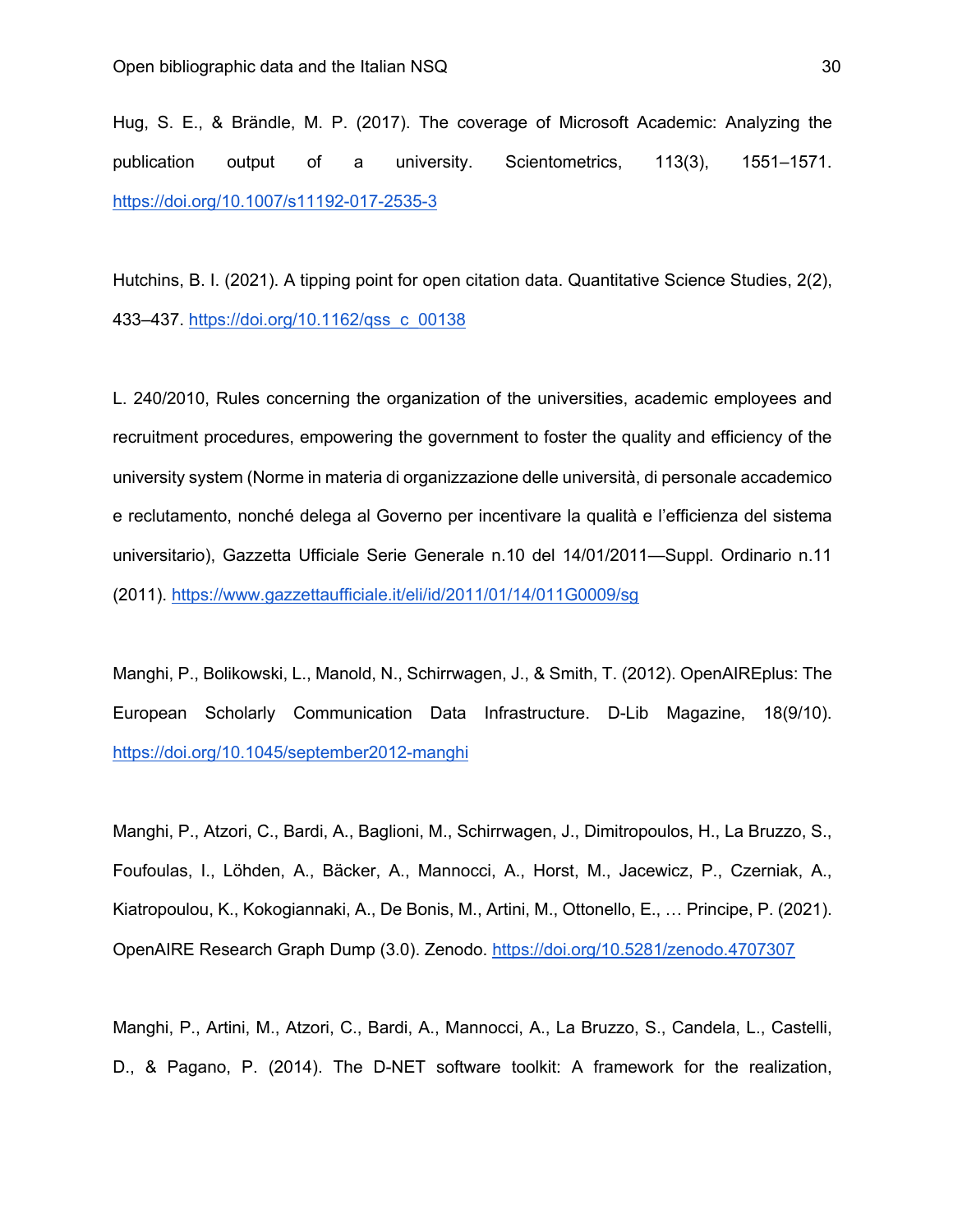Hug, S. E., & Brändle, M. P. (2017). The coverage of Microsoft Academic: Analyzing the publication output of a university. Scientometrics, 113(3), 1551–1571. https://doi.org/10.1007/s11192-017-2535-3

Hutchins, B. I. (2021). A tipping point for open citation data. Quantitative Science Studies, 2(2), 433–437. https://doi.org/10.1162/qss\_c\_00138

L. 240/2010, Rules concerning the organization of the universities, academic employees and recruitment procedures, empowering the government to foster the quality and efficiency of the university system (Norme in materia di organizzazione delle università, di personale accademico e reclutamento, nonché delega al Governo per incentivare la qualità e l'efficienza del sistema universitario), Gazzetta Ufficiale Serie Generale n.10 del 14/01/2011—Suppl. Ordinario n.11 (2011). https://www.gazzettaufficiale.it/eli/id/2011/01/14/011G0009/sg

Manghi, P., Bolikowski, L., Manold, N., Schirrwagen, J., & Smith, T. (2012). OpenAIREplus: The European Scholarly Communication Data Infrastructure. D-Lib Magazine, 18(9/10). https://doi.org/10.1045/september2012-manghi

Manghi, P., Atzori, C., Bardi, A., Baglioni, M., Schirrwagen, J., Dimitropoulos, H., La Bruzzo, S., Foufoulas, I., Löhden, A., Bäcker, A., Mannocci, A., Horst, M., Jacewicz, P., Czerniak, A., Kiatropoulou, K., Kokogiannaki, A., De Bonis, M., Artini, M., Ottonello, E., … Principe, P. (2021). OpenAIRE Research Graph Dump (3.0). Zenodo. https://doi.org/10.5281/zenodo.4707307

Manghi, P., Artini, M., Atzori, C., Bardi, A., Mannocci, A., La Bruzzo, S., Candela, L., Castelli, D., & Pagano, P. (2014). The D-NET software toolkit: A framework for the realization,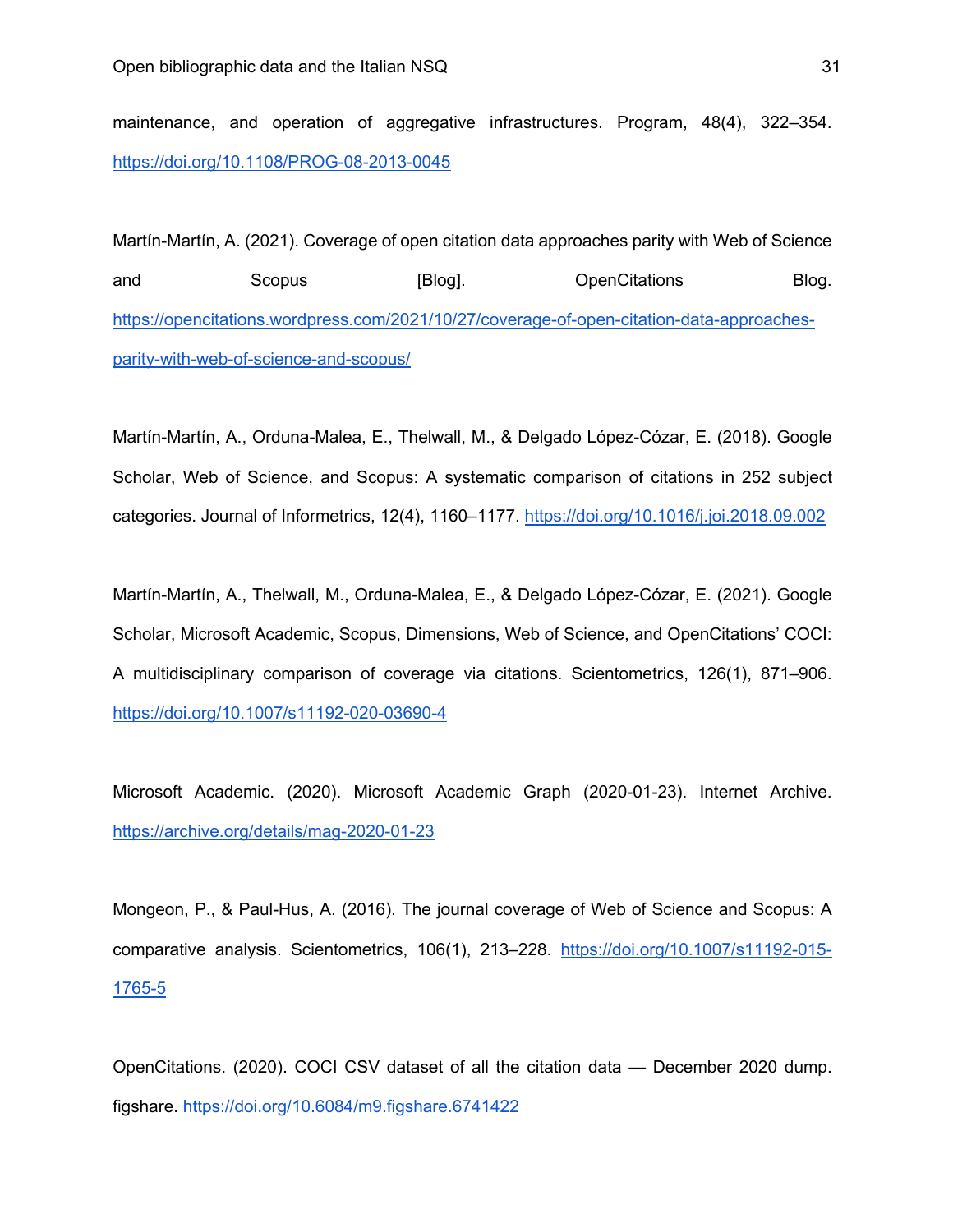maintenance, and operation of aggregative infrastructures. Program, 48(4), 322–354. https://doi.org/10.1108/PROG-08-2013-0045

Martín-Martín, A. (2021). Coverage of open citation data approaches parity with Web of Science and Scopus [Blog]. OpenCitations Blog. https://opencitations.wordpress.com/2021/10/27/coverage-of-open-citation-data-approachesparity-with-web-of-science-and-scopus/

Martín-Martín, A., Orduna-Malea, E., Thelwall, M., & Delgado López-Cózar, E. (2018). Google Scholar, Web of Science, and Scopus: A systematic comparison of citations in 252 subject categories. Journal of Informetrics, 12(4), 1160–1177. https://doi.org/10.1016/j.joi.2018.09.002

Martín-Martín, A., Thelwall, M., Orduna-Malea, E., & Delgado López-Cózar, E. (2021). Google Scholar, Microsoft Academic, Scopus, Dimensions, Web of Science, and OpenCitations' COCI: A multidisciplinary comparison of coverage via citations. Scientometrics, 126(1), 871–906. https://doi.org/10.1007/s11192-020-03690-4

Microsoft Academic. (2020). Microsoft Academic Graph (2020-01-23). Internet Archive. https://archive.org/details/mag-2020-01-23

Mongeon, P., & Paul-Hus, A. (2016). The journal coverage of Web of Science and Scopus: A comparative analysis. Scientometrics, 106(1), 213–228. https://doi.org/10.1007/s11192-015- 1765-5

OpenCitations. (2020). COCI CSV dataset of all the citation data — December 2020 dump. figshare. https://doi.org/10.6084/m9.figshare.6741422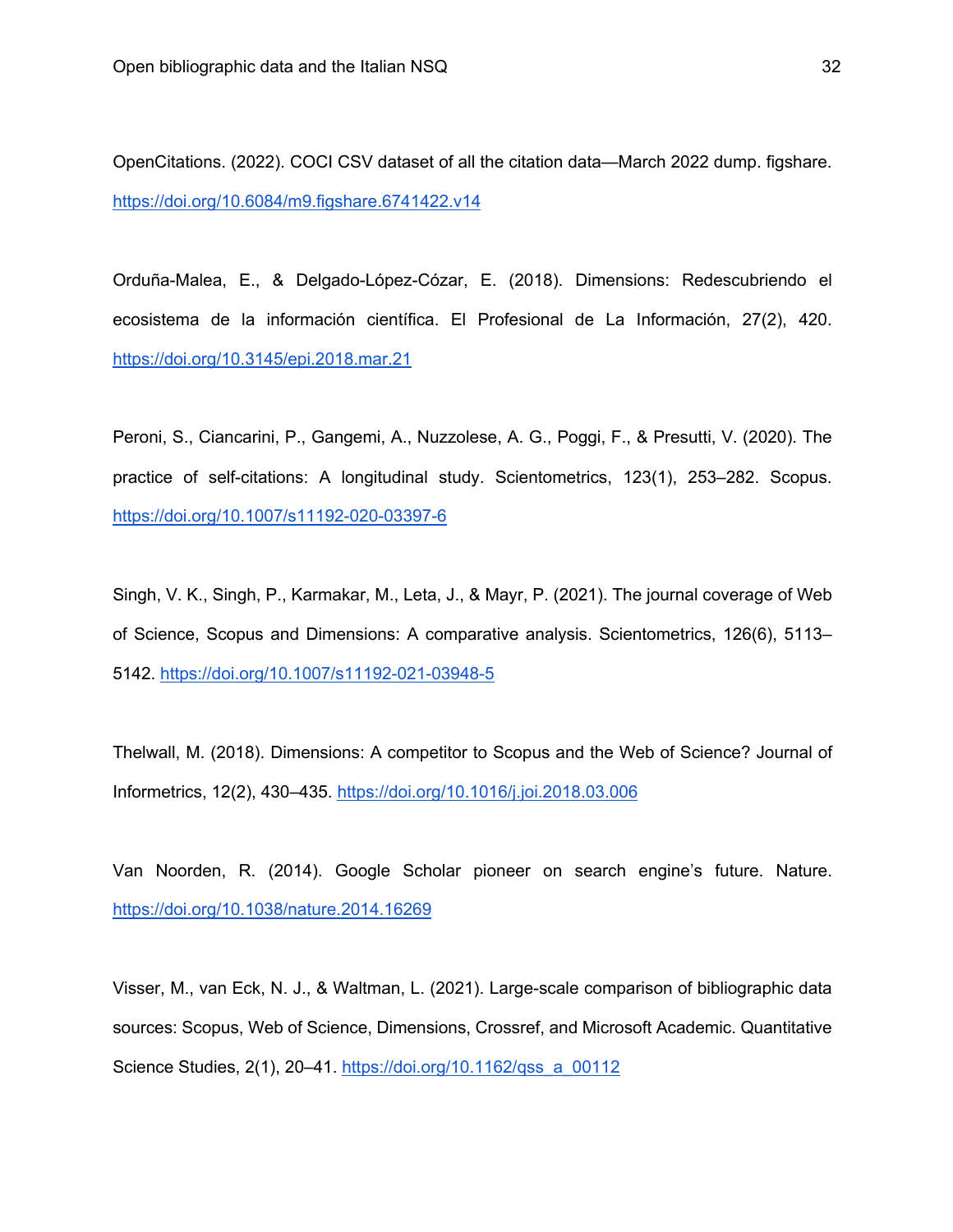OpenCitations. (2022). COCI CSV dataset of all the citation data—March 2022 dump. figshare. https://doi.org/10.6084/m9.figshare.6741422.v14

Orduña-Malea, E., & Delgado-López-Cózar, E. (2018). Dimensions: Redescubriendo el ecosistema de la información científica. El Profesional de La Información, 27(2), 420. https://doi.org/10.3145/epi.2018.mar.21

Peroni, S., Ciancarini, P., Gangemi, A., Nuzzolese, A. G., Poggi, F., & Presutti, V. (2020). The practice of self-citations: A longitudinal study. Scientometrics, 123(1), 253–282. Scopus. https://doi.org/10.1007/s11192-020-03397-6

Singh, V. K., Singh, P., Karmakar, M., Leta, J., & Mayr, P. (2021). The journal coverage of Web of Science, Scopus and Dimensions: A comparative analysis. Scientometrics, 126(6), 5113– 5142. https://doi.org/10.1007/s11192-021-03948-5

Thelwall, M. (2018). Dimensions: A competitor to Scopus and the Web of Science? Journal of Informetrics, 12(2), 430–435. https://doi.org/10.1016/j.joi.2018.03.006

Van Noorden, R. (2014). Google Scholar pioneer on search engine's future. Nature. https://doi.org/10.1038/nature.2014.16269

Visser, M., van Eck, N. J., & Waltman, L. (2021). Large-scale comparison of bibliographic data sources: Scopus, Web of Science, Dimensions, Crossref, and Microsoft Academic. Quantitative Science Studies, 2(1), 20–41. https://doi.org/10.1162/qss\_a\_00112